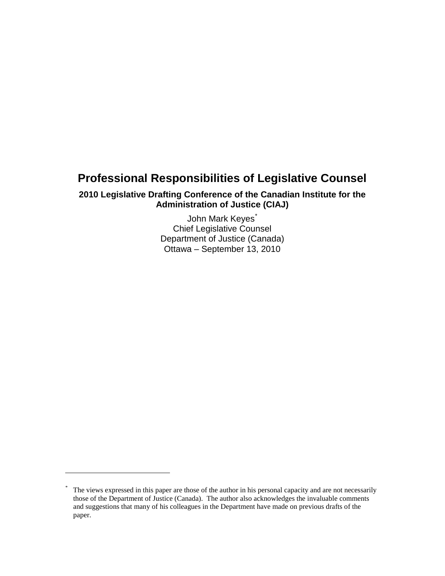## **Professional Responsibilities of Legislative Counsel**

## **2010 Legislative Drafting Conference of the Canadian Institute for the Administration of Justice (CIAJ)**

John Mark Keyes<sup>[\\*](#page-0-0)</sup> Chief Legislative Counsel Department of Justice (Canada) Ottawa – September 13, 2010

<span id="page-0-0"></span><sup>\*</sup> The views expressed in this paper are those of the author in his personal capacity and are not necessarily those of the Department of Justice (Canada). The author also acknowledges the invaluable comments and suggestions that many of his colleagues in the Department have made on previous drafts of the paper.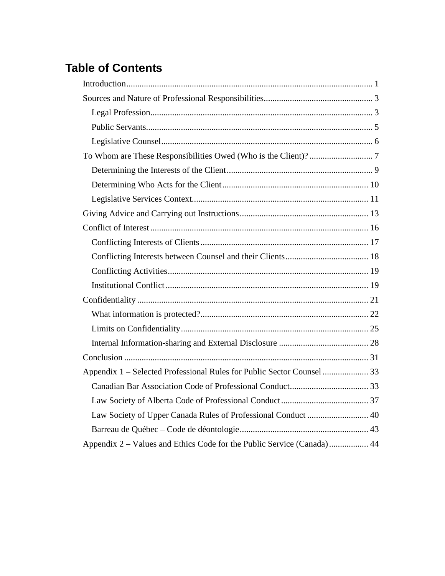# **Table of Contents**

| Appendix 1 - Selected Professional Rules for Public Sector Counsel  33 |  |
|------------------------------------------------------------------------|--|
|                                                                        |  |
|                                                                        |  |
| Law Society of Upper Canada Rules of Professional Conduct  40          |  |
|                                                                        |  |
| Appendix 2 – Values and Ethics Code for the Public Service (Canada) 44 |  |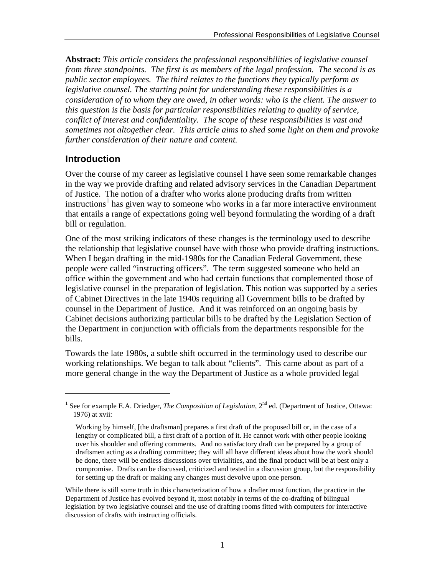**Abstract:** *This article considers the professional responsibilities of legislative counsel from three standpoints. The first is as members of the legal profession. The second is as public sector employees. The third relates to the functions they typically perform as legislative counsel. The starting point for understanding these responsibilities is a consideration of to whom they are owed, in other words: who is the client. The answer to this question is the basis for particular responsibilities relating to quality of service, conflict of interest and confidentiality. The scope of these responsibilities is vast and sometimes not altogether clear. This article aims to shed some light on them and provoke further consideration of their nature and content.*

## <span id="page-2-0"></span>**Introduction**

 $\overline{a}$ 

Over the course of my career as legislative counsel I have seen some remarkable changes in the way we provide drafting and related advisory services in the Canadian Department of Justice. The notion of a drafter who works alone producing drafts from written instructions<sup>[1](#page-2-1)</sup> has given way to someone who works in a far more interactive environment that entails a range of expectations going well beyond formulating the wording of a draft bill or regulation.

One of the most striking indicators of these changes is the terminology used to describe the relationship that legislative counsel have with those who provide drafting instructions. When I began drafting in the mid-1980s for the Canadian Federal Government, these people were called "instructing officers". The term suggested someone who held an office within the government and who had certain functions that complemented those of legislative counsel in the preparation of legislation. This notion was supported by a series of Cabinet Directives in the late 1940s requiring all Government bills to be drafted by counsel in the Department of Justice. And it was reinforced on an ongoing basis by Cabinet decisions authorizing particular bills to be drafted by the Legislation Section of the Department in conjunction with officials from the departments responsible for the bills.

Towards the late 1980s, a subtle shift occurred in the terminology used to describe our working relationships. We began to talk about "clients". This came about as part of a more general change in the way the Department of Justice as a whole provided legal

While there is still some truth in this characterization of how a drafter must function, the practice in the Department of Justice has evolved beyond it, most notably in terms of the co-drafting of bilingual legislation by two legislative counsel and the use of drafting rooms fitted with computers for interactive discussion of drafts with instructing officials.

<span id="page-2-1"></span><sup>&</sup>lt;sup>1</sup> See for example E.A. Driedger, *The Composition of Legislation*, 2<sup>nd</sup> ed. (Department of Justice, Ottawa: 1976) at xvii:

Working by himself, [the draftsman] prepares a first draft of the proposed bill or, in the case of a lengthy or complicated bill, a first draft of a portion of it. He cannot work with other people looking over his shoulder and offering comments. And no satisfactory draft can be prepared by a group of draftsmen acting as a drafting committee; they will all have different ideas about how the work should be done, there will be endless discussions over trivialities, and the final product will be at best only a compromise. Drafts can be discussed, criticized and tested in a discussion group, but the responsibility for setting up the draft or making any changes must devolve upon one person.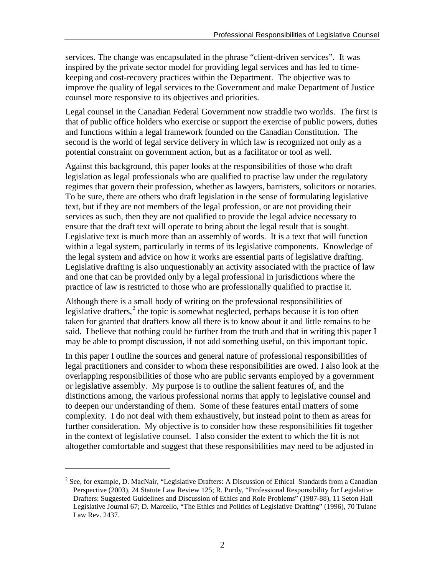services. The change was encapsulated in the phrase "client-driven services". It was inspired by the private sector model for providing legal services and has led to timekeeping and cost-recovery practices within the Department. The objective was to improve the quality of legal services to the Government and make Department of Justice counsel more responsive to its objectives and priorities.

Legal counsel in the Canadian Federal Government now straddle two worlds. The first is that of public office holders who exercise or support the exercise of public powers, duties and functions within a legal framework founded on the Canadian Constitution. The second is the world of legal service delivery in which law is recognized not only as a potential constraint on government action, but as a facilitator or tool as well.

Against this background, this paper looks at the responsibilities of those who draft legislation as legal professionals who are qualified to practise law under the regulatory regimes that govern their profession, whether as lawyers, barristers, solicitors or notaries. To be sure, there are others who draft legislation in the sense of formulating legislative text, but if they are not members of the legal profession, or are not providing their services as such, then they are not qualified to provide the legal advice necessary to ensure that the draft text will operate to bring about the legal result that is sought. Legislative text is much more than an assembly of words. It is a text that will function within a legal system, particularly in terms of its legislative components. Knowledge of the legal system and advice on how it works are essential parts of legislative drafting. Legislative drafting is also unquestionably an activity associated with the practice of law and one that can be provided only by a legal professional in jurisdictions where the practice of law is restricted to those who are professionally qualified to practise it.

<span id="page-3-1"></span>Although there is a small body of writing on the professional responsibilities of legislative drafters, $^2$  $^2$  the topic is somewhat neglected, perhaps because it is too often taken for granted that drafters know all there is to know about it and little remains to be said. I believe that nothing could be further from the truth and that in writing this paper I may be able to prompt discussion, if not add something useful, on this important topic.

In this paper I outline the sources and general nature of professional responsibilities of legal practitioners and consider to whom these responsibilities are owed. I also look at the overlapping responsibilities of those who are public servants employed by a government or legislative assembly. My purpose is to outline the salient features of, and the distinctions among, the various professional norms that apply to legislative counsel and to deepen our understanding of them. Some of these features entail matters of some complexity. I do not deal with them exhaustively, but instead point to them as areas for further consideration. My objective is to consider how these responsibilities fit together in the context of legislative counsel. I also consider the extent to which the fit is not altogether comfortable and suggest that these responsibilities may need to be adjusted in

<span id="page-3-0"></span><sup>&</sup>lt;sup>2</sup> See, for example, D. MacNair, "Legislative Drafters: A Discussion of Ethical Standards from a Canadian Perspective (2003), 24 Statute Law Review 125; R. Purdy, "Professional Responsibility for Legislative Drafters: Suggested Guidelines and Discussion of Ethics and Role Problems" (1987-88), 11 Seton Hall Legislative Journal 67; D. Marcello, "The Ethics and Politics of Legislative Drafting" (1996), 70 Tulane Law Rev. 2437.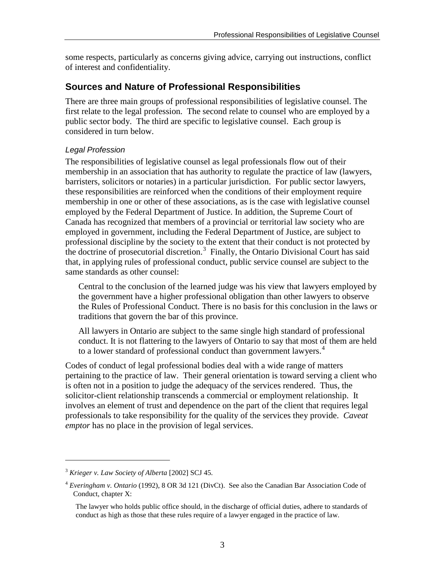some respects, particularly as concerns giving advice, carrying out instructions, conflict of interest and confidentiality.

## <span id="page-4-0"></span>**Sources and Nature of Professional Responsibilities**

There are three main groups of professional responsibilities of legislative counsel. The first relate to the legal profession. The second relate to counsel who are employed by a public sector body. The third are specific to legislative counsel. Each group is considered in turn below.

### <span id="page-4-1"></span>*Legal Profession*

The responsibilities of legislative counsel as legal professionals flow out of their membership in an association that has authority to regulate the practice of law (lawyers, barristers, solicitors or notaries) in a particular jurisdiction. For public sector lawyers, these responsibilities are reinforced when the conditions of their employment require membership in one or other of these associations, as is the case with legislative counsel employed by the Federal Department of Justice. In addition, the Supreme Court of Canada has recognized that members of a provincial or territorial law society who are employed in government, including the Federal Department of Justice, are subject to professional discipline by the society to the extent that their conduct is not protected by the doctrine of prosecutorial discretion.<sup>[3](#page-4-2)</sup> Finally, the Ontario Divisional Court has said that, in applying rules of professional conduct, public service counsel are subject to the same standards as other counsel:

Central to the conclusion of the learned judge was his view that lawyers employed by the government have a higher professional obligation than other lawyers to observe the Rules of Professional Conduct. There is no basis for this conclusion in the laws or traditions that govern the bar of this province.

All lawyers in Ontario are subject to the same single high standard of professional conduct. It is not flattering to the lawyers of Ontario to say that most of them are held to a lower standard of professional conduct than government lawyers.<sup>[4](#page-4-3)</sup>

Codes of conduct of legal professional bodies deal with a wide range of matters pertaining to the practice of law. Their general orientation is toward serving a client who is often not in a position to judge the adequacy of the services rendered. Thus, the solicitor-client relationship transcends a commercial or employment relationship. It involves an element of trust and dependence on the part of the client that requires legal professionals to take responsibility for the quality of the services they provide. *Caveat emptor* has no place in the provision of legal services.

<span id="page-4-2"></span><sup>3</sup> *Krieger v. Law Society of Alberta* [2002] SCJ 45.

<span id="page-4-3"></span><sup>4</sup> *Everingham v. Ontario* (1992), 8 OR 3d 121 (DivCt). See also the Canadian Bar Association Code of Conduct, chapter X:

The lawyer who holds public office should, in the discharge of official duties, adhere to standards of conduct as high as those that these rules require of a lawyer engaged in the practice of law.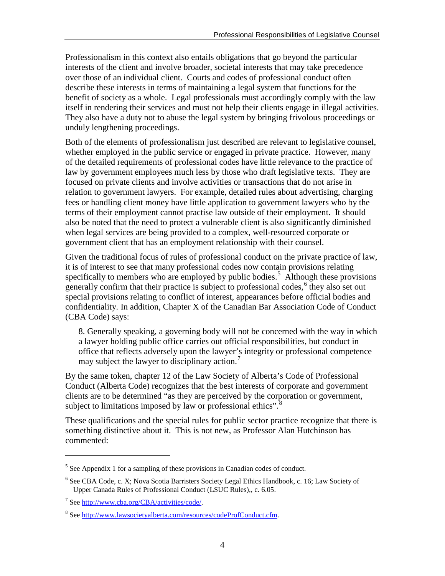Professionalism in this context also entails obligations that go beyond the particular interests of the client and involve broader, societal interests that may take precedence over those of an individual client. Courts and codes of professional conduct often describe these interests in terms of maintaining a legal system that functions for the benefit of society as a whole. Legal professionals must accordingly comply with the law itself in rendering their services and must not help their clients engage in illegal activities. They also have a duty not to abuse the legal system by bringing frivolous proceedings or unduly lengthening proceedings.

Both of the elements of professionalism just described are relevant to legislative counsel, whether employed in the public service or engaged in private practice. However, many of the detailed requirements of professional codes have little relevance to the practice of law by government employees much less by those who draft legislative texts. They are focused on private clients and involve activities or transactions that do not arise in relation to government lawyers. For example, detailed rules about advertising, charging fees or handling client money have little application to government lawyers who by the terms of their employment cannot practise law outside of their employment. It should also be noted that the need to protect a vulnerable client is also significantly diminished when legal services are being provided to a complex, well-resourced corporate or government client that has an employment relationship with their counsel.

Given the traditional focus of rules of professional conduct on the private practice of law, it is of interest to see that many professional codes now contain provisions relating specifically to members who are employed by public bodies.<sup>[5](#page-5-0)</sup> Although these provisions generally confirm that their practice is subject to professional codes,<sup>[6](#page-5-1)</sup> they also set out special provisions relating to conflict of interest, appearances before official bodies and confidentiality. In addition, Chapter X of the Canadian Bar Association Code of Conduct (CBA Code) says:

<span id="page-5-5"></span><span id="page-5-4"></span>8. Generally speaking, a governing body will not be concerned with the way in which a lawyer holding public office carries out official responsibilities, but conduct in office that reflects adversely upon the lawyer's integrity or professional competence may subject the lawyer to disciplinary action.<sup>[7](#page-5-2)</sup>

By the same token, chapter 12 of the Law Society of Alberta's Code of Professional Conduct (Alberta Code) recognizes that the best interests of corporate and government clients are to be determined "as they are perceived by the corporation or government, subject to limitations imposed by law or professional ethics".<sup>[8](#page-5-3)</sup>

These qualifications and the special rules for public sector practice recognize that there is something distinctive about it. This is not new, as Professor Alan Hutchinson has commented:

<span id="page-5-0"></span> $<sup>5</sup>$  See Appendix 1 for a sampling of these provisions in Canadian codes of conduct.</sup>

<span id="page-5-1"></span><sup>6</sup> See CBA Code, c. X; Nova Scotia Barristers Society Legal Ethics Handbook, c. 16; Law Society of Upper Canada Rules of Professional Conduct (LSUC Rules),, c. 6.05.

<span id="page-5-2"></span><sup>7</sup> Se[e http://www.cba.org/CBA/activities/code/.](http://www.cba.org/CBA/activities/code/)

<span id="page-5-3"></span><sup>8</sup> Se[e http://www.lawsocietyalberta.com/resources/codeProfConduct.cfm.](http://www.lawsocietyalberta.com/resources/codeProfConduct.cfm)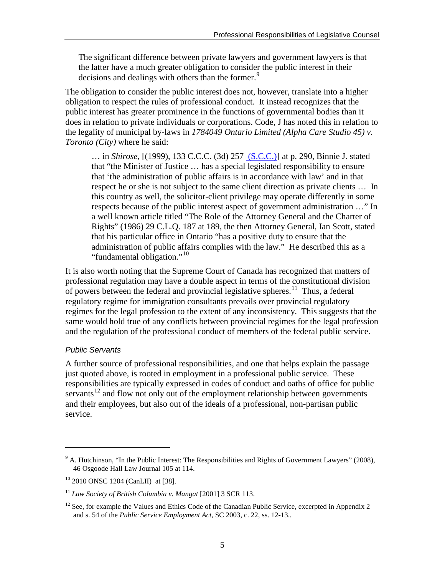<span id="page-6-5"></span>The significant difference between private lawyers and government lawyers is that the latter have a much greater obligation to consider the public interest in their decisions and dealings with others than the former.<sup>[9](#page-6-1)</sup>

The obligation to consider the public interest does not, however, translate into a higher obligation to respect the rules of professional conduct. It instead recognizes that the public interest has greater prominence in the functions of governmental bodies than it does in relation to private individuals or corporations. Code, J has noted this in relation to the legality of municipal by-laws in *1784049 Ontario Limited (Alpha Care Studio 45) v. Toronto (City)* where he said:

… in *Shirose*, [\[\(1999\), 133 C.C.C. \(3d\) 257 \(S.C.C.\)\]](http://www.canlii.org/en/ca/scc/doc/1999/1999canlii676/1999canlii676.html) at p. 290, Binnie J. stated that "the Minister of Justice … has a special legislated responsibility to ensure that 'the administration of public affairs is in accordance with law' and in that respect he or she is not subject to the same client direction as private clients … In this country as well, the solicitor-client privilege may operate differently in some respects because of the public interest aspect of government administration …" In a well known article titled "The Role of the Attorney General and the Charter of Rights" (1986) 29 C.L.Q. 187 at 189, the then Attorney General, Ian Scott, stated that his particular office in Ontario "has a positive duty to ensure that the administration of public affairs complies with the law." He described this as a "fundamental obligation."<sup>[10](#page-6-2)</sup>

<span id="page-6-6"></span>It is also worth noting that the Supreme Court of Canada has recognized that matters of professional regulation may have a double aspect in terms of the constitutional division of powers between the federal and provincial legislative spheres.<sup>[11](#page-6-3)</sup> Thus, a federal regulatory regime for immigration consultants prevails over provincial regulatory regimes for the legal profession to the extent of any inconsistency. This suggests that the same would hold true of any conflicts between provincial regimes for the legal profession and the regulation of the professional conduct of members of the federal public service.

#### <span id="page-6-0"></span>*Public Servants*

 $\overline{a}$ 

A further source of professional responsibilities, and one that helps explain the passage just quoted above, is rooted in employment in a professional public service. These responsibilities are typically expressed in codes of conduct and oaths of office for public servants<sup>[12](#page-6-4)</sup> and flow not only out of the employment relationship between governments and their employees, but also out of the ideals of a professional, non-partisan public service.

<span id="page-6-1"></span> $9<sup>9</sup>$  A. Hutchinson, "In the Public Interest: The Responsibilities and Rights of Government Lawyers" (2008), 46 Osgoode Hall Law Journal 105 at 114.

<span id="page-6-2"></span><sup>10</sup> 2010 ONSC 1204 (CanLII) at [38].

<span id="page-6-3"></span><sup>11</sup> *Law Society of British Columbia v. Mangat* [2001] 3 SCR 113.

<span id="page-6-4"></span> $12$  See, for example the Values and Ethics Code of the Canadian Public Service, excerpted in Appendix 2 and s. 54 of the *Public Service Employment Act*, SC 2003, c. 22, ss. 12-13..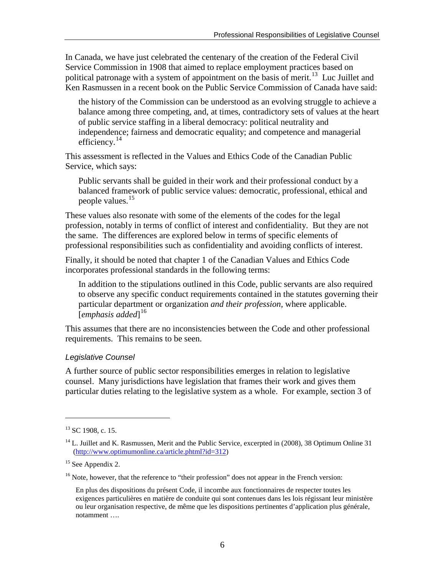In Canada, we have just celebrated the centenary of the creation of the Federal Civil Service Commission in 1908 that aimed to replace employment practices based on political patronage with a system of appointment on the basis of merit.<sup>[13](#page-7-1)</sup> Luc Juillet and Ken Rasmussen in a recent book on the Public Service Commission of Canada have said:

the history of the Commission can be understood as an evolving struggle to achieve a balance among three competing, and, at times, contradictory sets of values at the heart of public service staffing in a liberal democracy: political neutrality and independence; fairness and democratic equality; and competence and managerial efficiency.<sup>[14](#page-7-2)</sup>

This assessment is reflected in the Values and Ethics Code of the Canadian Public Service, which says:

Public servants shall be guided in their work and their professional conduct by a balanced framework of public service values: democratic, professional, ethical and people values.<sup>[15](#page-7-3)</sup>

These values also resonate with some of the elements of the codes for the legal profession, notably in terms of conflict of interest and confidentiality. But they are not the same. The differences are explored below in terms of specific elements of professional responsibilities such as confidentiality and avoiding conflicts of interest.

Finally, it should be noted that chapter 1 of the Canadian Values and Ethics Code incorporates professional standards in the following terms:

In addition to the stipulations outlined in this Code, public servants are also required to observe any specific conduct requirements contained in the statutes governing their particular department or organization *and their profession*, where applicable. [*emphasis added*] [16](#page-7-4)

This assumes that there are no inconsistencies between the Code and other professional requirements. This remains to be seen.

#### <span id="page-7-0"></span>*Legislative Counsel*

A further source of public sector responsibilities emerges in relation to legislative counsel. Many jurisdictions have legislation that frames their work and gives them particular duties relating to the legislative system as a whole. For example, section 3 of

 $^{13}$  SC 1908, c. 15.

<span id="page-7-2"></span><span id="page-7-1"></span><sup>&</sup>lt;sup>14</sup> L. Juillet and K. Rasmussen, Merit and the Public Service, excerpted in (2008), 38 Optimum Online 31 [\(http://www.optimumonline.ca/article.phtml?id=312\)](http://www.optimumonline.ca/article.phtml?id=312)

<span id="page-7-3"></span><sup>&</sup>lt;sup>15</sup> See Appendix 2.

<span id="page-7-4"></span> $16$  Note, however, that the reference to "their profession" does not appear in the French version:

En plus des dispositions du présent Code, il incombe aux fonctionnaires de respecter toutes les exigences particulières en matière de conduite qui sont contenues dans les lois régissant leur ministère ou leur organisation respective, de même que les dispositions pertinentes d'application plus générale, notamment ….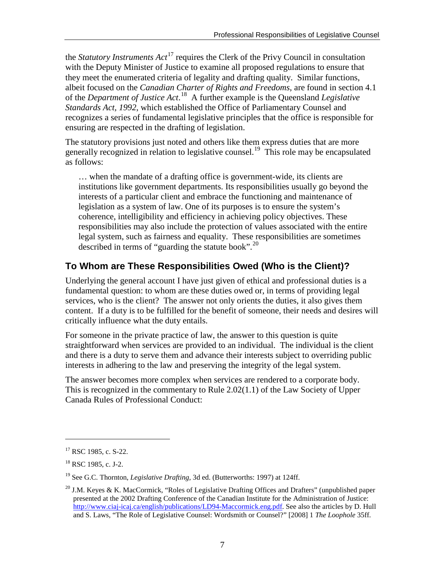the *Statutory Instruments Act*[17](#page-8-1) requires the Clerk of the Privy Council in consultation with the Deputy Minister of Justice to examine all proposed regulations to ensure that they meet the enumerated criteria of legality and drafting quality. Similar functions, albeit focused on the *Canadian Charter of Rights and Freedoms,* are found in section 4.1 of the *Department of Justice Act*.<sup>[18](#page-8-2)</sup> A further example is the Queensland *Legislative Standards Act, 1992*, which established the Office of Parliamentary Counsel and recognizes a series of fundamental legislative principles that the office is responsible for ensuring are respected in the drafting of legislation.

The statutory provisions just noted and others like them express duties that are more generally recognized in relation to legislative counsel.<sup>[19](#page-8-3)</sup> This role may be encapsulated as follows:

<span id="page-8-5"></span>… when the mandate of a drafting office is government-wide, its clients are institutions like government departments. Its responsibilities usually go beyond the interests of a particular client and embrace the functioning and maintenance of legislation as a system of law. One of its purposes is to ensure the system's coherence, intelligibility and efficiency in achieving policy objectives. These responsibilities may also include the protection of values associated with the entire legal system, such as fairness and equality. These responsibilities are sometimes described in terms of "guarding the statute book".<sup>[20](#page-8-4)</sup>

## <span id="page-8-0"></span>**To Whom are These Responsibilities Owed (Who is the Client)?**

Underlying the general account I have just given of ethical and professional duties is a fundamental question: to whom are these duties owed or, in terms of providing legal services, who is the client? The answer not only orients the duties, it also gives them content. If a duty is to be fulfilled for the benefit of someone, their needs and desires will critically influence what the duty entails.

For someone in the private practice of law, the answer to this question is quite straightforward when services are provided to an individual. The individual is the client and there is a duty to serve them and advance their interests subject to overriding public interests in adhering to the law and preserving the integrity of the legal system.

The answer becomes more complex when services are rendered to a corporate body. This is recognized in the commentary to Rule 2.02(1.1) of the Law Society of Upper Canada Rules of Professional Conduct:

<span id="page-8-1"></span> $17$  RSC 1985, c. S-22.

<sup>&</sup>lt;sup>18</sup> RSC 1985, c. J-2.

<span id="page-8-3"></span><span id="page-8-2"></span><sup>19</sup> See G.C. Thornton, *Legislative Drafting,* 3d ed. (Butterworths: 1997) at 124ff.

<span id="page-8-4"></span><sup>&</sup>lt;sup>20</sup> J.M. Keyes & K. MacCormick, "Roles of Legislative Drafting Offices and Drafters" (unpublished paper presented at the 2002 Drafting Conference of the Canadian Institute for the Administration of Justice: [http://www.ciaj-icaj.ca/english/publications/LD94-Maccormick.eng.pdf.](http://www.ciaj-icaj.ca/english/publications/LD94-Maccormick.eng.pdf) See also the articles by D. Hull and S. Laws, "The Role of Legislative Counsel: Wordsmith or Counsel?" [2008] 1 *The Loophole* 35ff.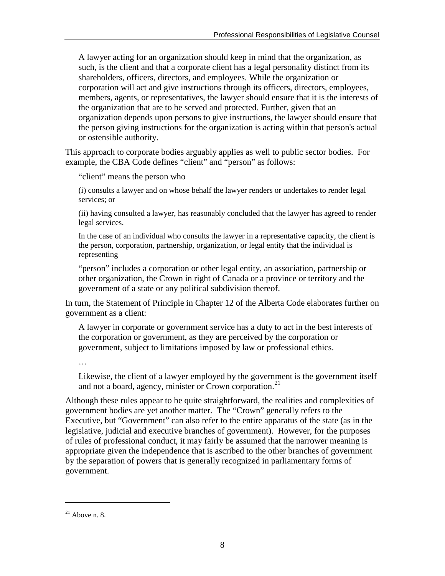A lawyer acting for an organization should keep in mind that the organization, as such, is the client and that a corporate client has a legal personality distinct from its shareholders, officers, directors, and employees. While the organization or corporation will act and give instructions through its officers, directors, employees, members, agents, or representatives, the lawyer should ensure that it is the interests of the organization that are to be served and protected. Further, given that an organization depends upon persons to give instructions, the lawyer should ensure that the person giving instructions for the organization is acting within that person's actual or ostensible authority.

This approach to corporate bodies arguably applies as well to public sector bodies. For example, the CBA Code defines "client" and "person" as follows:

"client" means the person who

(i) consults a lawyer and on whose behalf the lawyer renders or undertakes to render legal services; or

(ii) having consulted a lawyer, has reasonably concluded that the lawyer has agreed to render legal services.

In the case of an individual who consults the lawyer in a representative capacity, the client is the person, corporation, partnership, organization, or legal entity that the individual is representing

"person" includes a corporation or other legal entity, an association, partnership or other organization, the Crown in right of Canada or a province or territory and the government of a state or any political subdivision thereof.

In turn, the Statement of Principle in Chapter 12 of the Alberta Code elaborates further on government as a client:

A lawyer in corporate or government service has a duty to act in the best interests of the corporation or government, as they are perceived by the corporation or government, subject to limitations imposed by law or professional ethics.

…

Likewise, the client of a lawyer employed by the government is the government itself and not a board, agency, minister or Crown corporation.<sup>[21](#page-9-0)</sup>

Although these rules appear to be quite straightforward, the realities and complexities of government bodies are yet another matter. The "Crown" generally refers to the Executive, but "Government" can also refer to the entire apparatus of the state (as in the legislative, judicial and executive branches of government). However, for the purposes of rules of professional conduct, it may fairly be assumed that the narrower meaning is appropriate given the independence that is ascribed to the other branches of government by the separation of powers that is generally recognized in parliamentary forms of government.

<span id="page-9-0"></span> $21$  Above n. [8.](#page-5-4)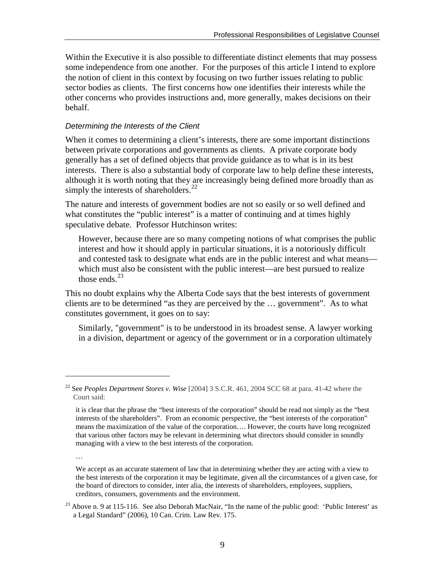Within the Executive it is also possible to differentiate distinct elements that may possess some independence from one another. For the purposes of this article I intend to explore the notion of client in this context by focusing on two further issues relating to public sector bodies as clients. The first concerns how one identifies their interests while the other concerns who provides instructions and, more generally, makes decisions on their behalf.

#### <span id="page-10-0"></span>*Determining the Interests of the Client*

When it comes to determining a client's interests, there are some important distinctions between private corporations and governments as clients. A private corporate body generally has a set of defined objects that provide guidance as to what is in its best interests. There is also a substantial body of corporate law to help define these interests, although it is worth noting that they are increasingly being defined more broadly than as simply the interests of shareholders. $^{22}$  $^{22}$  $^{22}$ 

The nature and interests of government bodies are not so easily or so well defined and what constitutes the "public interest" is a matter of continuing and at times highly speculative debate. Professor Hutchinson writes:

However, because there are so many competing notions of what comprises the public interest and how it should apply in particular situations, it is a notoriously difficult and contested task to designate what ends are in the public interest and what means which must also be consistent with the public interest—are best pursued to realize those ends. $^{23}$  $^{23}$  $^{23}$ 

This no doubt explains why the Alberta Code says that the best interests of government clients are to be determined "as they are perceived by the … government". As to what constitutes government, it goes on to say:

Similarly, "government" is to be understood in its broadest sense. A lawyer working in a division, department or agency of the government or in a corporation ultimately

…

<span id="page-10-1"></span><sup>22</sup> See *Peoples Department Stores v. Wise* [2004] 3 S.C.R. 461, 2004 SCC 68 at para. 41-42 where the Court said:

it is clear that the phrase the "best interests of the corporation" should be read not simply as the "best interests of the shareholders". From an economic perspective, the "best interests of the corporation" means the maximization of the value of the corporation…. However, the courts have long recognized that various other factors may be relevant in determining what directors should consider in soundly managing with a view to the best interests of the corporation.

We accept as an accurate statement of law that in determining whether they are acting with a view to the best interests of the corporation it may be legitimate, given all the circumstances of a given case, for the board of directors to consider, inter alia, the interests of shareholders, employees, suppliers, creditors, consumers, governments and the environment.

<span id="page-10-2"></span> $^{23}$  Above n. [9](#page-6-5) at 115-116. See also Deborah MacNair, "In the name of the public good: 'Public Interest' as a Legal Standard" (2006), 10 Can. Crim. Law Rev. 175.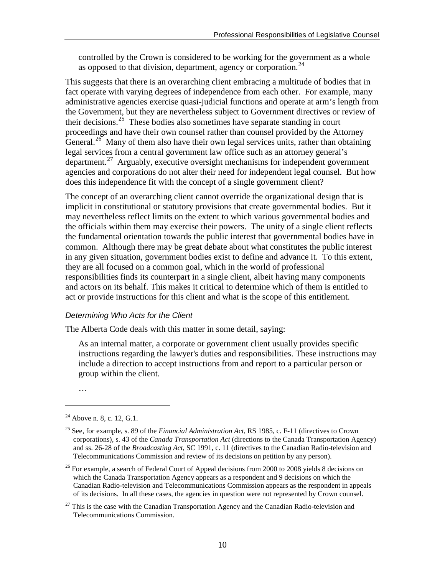controlled by the Crown is considered to be working for the government as a whole as opposed to that division, department, agency or corporation.  $^{24}$  $^{24}$  $^{24}$ 

This suggests that there is an overarching client embracing a multitude of bodies that in fact operate with varying degrees of independence from each other. For example, many administrative agencies exercise quasi-judicial functions and operate at arm's length from the Government, but they are nevertheless subject to Government directives or review of their decisions.<sup>[25](#page-11-2)</sup> These bodies also sometimes have separate standing in court proceedings and have their own counsel rather than counsel provided by the Attorney General.<sup>26</sup> Many of them also have their own legal services units, rather than obtaining legal services from a central government law office such as an attorney general's department.<sup>[27](#page-11-4)</sup> Arguably, executive oversight mechanisms for independent government agencies and corporations do not alter their need for independent legal counsel. But how does this independence fit with the concept of a single government client?

The concept of an overarching client cannot override the organizational design that is implicit in constitutional or statutory provisions that create governmental bodies. But it may nevertheless reflect limits on the extent to which various governmental bodies and the officials within them may exercise their powers. The unity of a single client reflects the fundamental orientation towards the public interest that governmental bodies have in common. Although there may be great debate about what constitutes the public interest in any given situation, government bodies exist to define and advance it. To this extent, they are all focused on a common goal, which in the world of professional responsibilities finds its counterpart in a single client, albeit having many components and actors on its behalf. This makes it critical to determine which of them is entitled to act or provide instructions for this client and what is the scope of this entitlement.

#### <span id="page-11-0"></span>*Determining Who Acts for the Client*

The Alberta Code deals with this matter in some detail, saying:

As an internal matter, a corporate or government client usually provides specific instructions regarding the lawyer's duties and responsibilities. These instructions may include a direction to accept instructions from and report to a particular person or group within the client.

…

<span id="page-11-1"></span> $^{24}$  Above n. [8,](#page-5-4) c. 12, G.1.

<span id="page-11-2"></span><sup>25</sup> See, for example, s. 89 of the *Financial Administration Act*, RS 1985, c. F-11 (directives to Crown corporations), s. 43 of the *Canada Transportation Act* (directions to the Canada Transportation Agency) and ss. 26-28 of the *Broadcasting Act*, SC 1991, c. 11 (directives to the Canadian Radio-television and Telecommunications Commission and review of its decisions on petition by any person).

<span id="page-11-3"></span><sup>&</sup>lt;sup>26</sup> For example, a search of Federal Court of Appeal decisions from 2000 to 2008 yields 8 decisions on which the Canada Transportation Agency appears as a respondent and 9 decisions on which the Canadian Radio-television and Telecommunications Commission appears as the respondent in appeals of its decisions. In all these cases, the agencies in question were not represented by Crown counsel.

<span id="page-11-4"></span><sup>&</sup>lt;sup>27</sup> This is the case with the Canadian Transportation Agency and the Canadian Radio-television and Telecommunications Commission.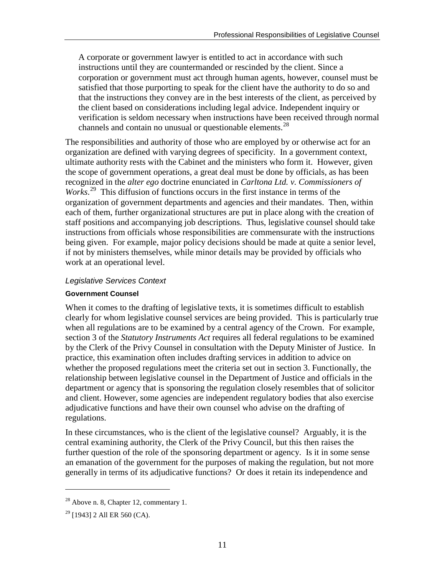A corporate or government lawyer is entitled to act in accordance with such instructions until they are countermanded or rescinded by the client. Since a corporation or government must act through human agents, however, counsel must be satisfied that those purporting to speak for the client have the authority to do so and that the instructions they convey are in the best interests of the client, as perceived by the client based on considerations including legal advice. Independent inquiry or verification is seldom necessary when instructions have been received through normal channels and contain no unusual or questionable elements. $^{28}$  $^{28}$  $^{28}$ 

The responsibilities and authority of those who are employed by or otherwise act for an organization are defined with varying degrees of specificity. In a government context, ultimate authority rests with the Cabinet and the ministers who form it. However, given the scope of government operations, a great deal must be done by officials, as has been recognized in the *alter ego* doctrine enunciated in *Carltona Ltd. v. Commissioners of*  Works.<sup>[29](#page-12-2)</sup> This diffusion of functions occurs in the first instance in terms of the organization of government departments and agencies and their mandates. Then, within each of them, further organizational structures are put in place along with the creation of staff positions and accompanying job descriptions. Thus, legislative counsel should take instructions from officials whose responsibilities are commensurate with the instructions being given. For example, major policy decisions should be made at quite a senior level, if not by ministers themselves, while minor details may be provided by officials who work at an operational level.

### <span id="page-12-0"></span>*Legislative Services Context*

### **Government Counsel**

When it comes to the drafting of legislative texts, it is sometimes difficult to establish clearly for whom legislative counsel services are being provided. This is particularly true when all regulations are to be examined by a central agency of the Crown. For example, section 3 of the *Statutory Instruments Act* requires all federal regulations to be examined by the Clerk of the Privy Counsel in consultation with the Deputy Minister of Justice. In practice, this examination often includes drafting services in addition to advice on whether the proposed regulations meet the criteria set out in section 3. Functionally, the relationship between legislative counsel in the Department of Justice and officials in the department or agency that is sponsoring the regulation closely resembles that of solicitor and client. However, some agencies are independent regulatory bodies that also exercise adjudicative functions and have their own counsel who advise on the drafting of regulations.

In these circumstances, who is the client of the legislative counsel? Arguably, it is the central examining authority, the Clerk of the Privy Council, but this then raises the further question of the role of the sponsoring department or agency. Is it in some sense an emanation of the government for the purposes of making the regulation, but not more generally in terms of its adjudicative functions? Or does it retain its independence and

<span id="page-12-1"></span> $^{28}$  Above n. [8,](#page-5-4) Chapter 12, commentary 1.

<span id="page-12-2"></span> $29$  [1943] 2 All ER 560 (CA).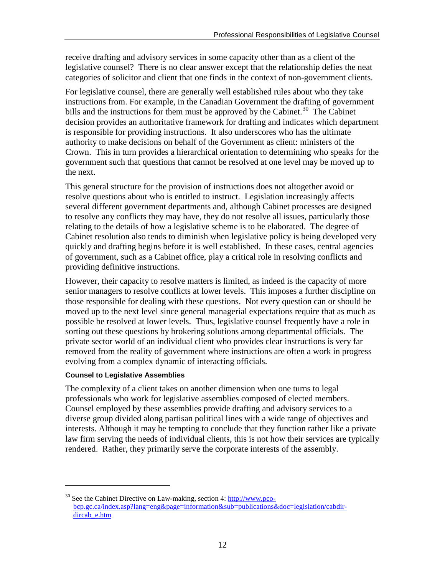receive drafting and advisory services in some capacity other than as a client of the legislative counsel? There is no clear answer except that the relationship defies the neat categories of solicitor and client that one finds in the context of non-government clients.

For legislative counsel, there are generally well established rules about who they take instructions from. For example, in the Canadian Government the drafting of government bills and the instructions for them must be approved by the Cabinet.<sup>[30](#page-13-0)</sup> The Cabinet decision provides an authoritative framework for drafting and indicates which department is responsible for providing instructions. It also underscores who has the ultimate authority to make decisions on behalf of the Government as client: ministers of the Crown. This in turn provides a hierarchical orientation to determining who speaks for the government such that questions that cannot be resolved at one level may be moved up to the next.

This general structure for the provision of instructions does not altogether avoid or resolve questions about who is entitled to instruct. Legislation increasingly affects several different government departments and, although Cabinet processes are designed to resolve any conflicts they may have, they do not resolve all issues, particularly those relating to the details of how a legislative scheme is to be elaborated. The degree of Cabinet resolution also tends to diminish when legislative policy is being developed very quickly and drafting begins before it is well established. In these cases, central agencies of government, such as a Cabinet office, play a critical role in resolving conflicts and providing definitive instructions.

However, their capacity to resolve matters is limited, as indeed is the capacity of more senior managers to resolve conflicts at lower levels. This imposes a further discipline on those responsible for dealing with these questions. Not every question can or should be moved up to the next level since general managerial expectations require that as much as possible be resolved at lower levels. Thus, legislative counsel frequently have a role in sorting out these questions by brokering solutions among departmental officials. The private sector world of an individual client who provides clear instructions is very far removed from the reality of government where instructions are often a work in progress evolving from a complex dynamic of interacting officials.

#### **Counsel to Legislative Assemblies**

 $\overline{a}$ 

The complexity of a client takes on another dimension when one turns to legal professionals who work for legislative assemblies composed of elected members. Counsel employed by these assemblies provide drafting and advisory services to a diverse group divided along partisan political lines with a wide range of objectives and interests. Although it may be tempting to conclude that they function rather like a private law firm serving the needs of individual clients, this is not how their services are typically rendered. Rather, they primarily serve the corporate interests of the assembly.

<span id="page-13-0"></span><sup>&</sup>lt;sup>30</sup> See the Cabinet Directive on Law-making, section 4[: http://www.pco](http://www.pco-bcp.gc.ca/index.asp?lang=eng&page=information&sub=publications&doc=legislation/cabdir-dircab_e.htm)[bcp.gc.ca/index.asp?lang=eng&page=information&sub=publications&doc=legislation/cabdir](http://www.pco-bcp.gc.ca/index.asp?lang=eng&page=information&sub=publications&doc=legislation/cabdir-dircab_e.htm)[dircab\\_e.htm](http://www.pco-bcp.gc.ca/index.asp?lang=eng&page=information&sub=publications&doc=legislation/cabdir-dircab_e.htm)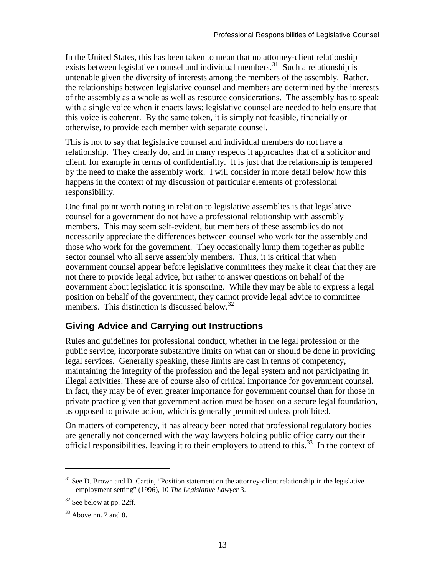In the United States, this has been taken to mean that no attorney-client relationship exists between legislative counsel and individual members.<sup>[31](#page-14-1)</sup> Such a relationship is untenable given the diversity of interests among the members of the assembly. Rather, the relationships between legislative counsel and members are determined by the interests of the assembly as a whole as well as resource considerations. The assembly has to speak with a single voice when it enacts laws: legislative counsel are needed to help ensure that this voice is coherent. By the same token, it is simply not feasible, financially or otherwise, to provide each member with separate counsel.

This is not to say that legislative counsel and individual members do not have a relationship. They clearly do, and in many respects it approaches that of a solicitor and client, for example in terms of confidentiality. It is just that the relationship is tempered by the need to make the assembly work. I will consider in more detail below how this happens in the context of my discussion of particular elements of professional responsibility.

One final point worth noting in relation to legislative assemblies is that legislative counsel for a government do not have a professional relationship with assembly members. This may seem self-evident, but members of these assemblies do not necessarily appreciate the differences between counsel who work for the assembly and those who work for the government. They occasionally lump them together as public sector counsel who all serve assembly members. Thus, it is critical that when government counsel appear before legislative committees they make it clear that they are not there to provide legal advice, but rather to answer questions on behalf of the government about legislation it is sponsoring. While they may be able to express a legal position on behalf of the government, they cannot provide legal advice to committee members. This distinction is discussed below.<sup>[32](#page-14-2)</sup>

## <span id="page-14-0"></span>**Giving Advice and Carrying out Instructions**

Rules and guidelines for professional conduct, whether in the legal profession or the public service, incorporate substantive limits on what can or should be done in providing legal services. Generally speaking, these limits are cast in terms of competency, maintaining the integrity of the profession and the legal system and not participating in illegal activities. These are of course also of critical importance for government counsel. In fact, they may be of even greater importance for government counsel than for those in private practice given that government action must be based on a secure legal foundation, as opposed to private action, which is generally permitted unless prohibited.

On matters of competency, it has already been noted that professional regulatory bodies are generally not concerned with the way lawyers holding public office carry out their official responsibilities, leaving it to their employers to attend to this.<sup>[33](#page-14-3)</sup> In the context of

<span id="page-14-1"></span> $31$  See D. Brown and D. Cartin, "Position statement on the attorney-client relationship in the legislative employment setting" (1996), 10 *The Legislative Lawyer* 3.

<span id="page-14-2"></span> $32$  See below at pp[. 22f](#page-23-0)f.

<span id="page-14-3"></span> $33$  Above nn. [7](#page-5-5) and [8.](#page-5-4)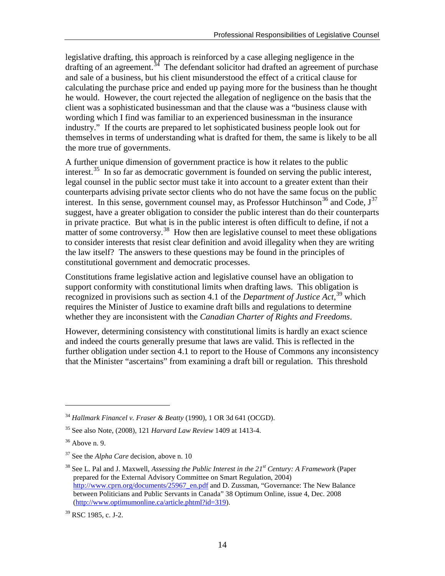legislative drafting, this approach is reinforced by a case alleging negligence in the drafting of an agreement.<sup>[34](#page-15-0)</sup> The defendant solicitor had drafted an agreement of purchase and sale of a business, but his client misunderstood the effect of a critical clause for calculating the purchase price and ended up paying more for the business than he thought he would. However, the court rejected the allegation of negligence on the basis that the client was a sophisticated businessman and that the clause was a "business clause with wording which I find was familiar to an experienced businessman in the insurance industry." If the courts are prepared to let sophisticated business people look out for themselves in terms of understanding what is drafted for them, the same is likely to be all the more true of governments.

<span id="page-15-7"></span>A further unique dimension of government practice is how it relates to the public interest. [35](#page-15-1) In so far as democratic government is founded on serving the public interest, legal counsel in the public sector must take it into account to a greater extent than their counterparts advising private sector clients who do not have the same focus on the public interest. In this sense, government counsel may, as Professor Hutchinson<sup>[36](#page-15-2)</sup> and Code,  $J^{37}$  $J^{37}$  $J^{37}$ suggest, have a greater obligation to consider the public interest than do their counterparts in private practice. But what is in the public interest is often difficult to define, if not a matter of some controversy.<sup>[38](#page-15-4)</sup> How then are legislative counsel to meet these obligations to consider interests that resist clear definition and avoid illegality when they are writing the law itself? The answers to these questions may be found in the principles of constitutional government and democratic processes.

<span id="page-15-6"></span>Constitutions frame legislative action and legislative counsel have an obligation to support conformity with constitutional limits when drafting laws. This obligation is recognized in provisions such as section 4.1 of the *Department of Justice Act*,<sup>[39](#page-15-5)</sup> which requires the Minister of Justice to examine draft bills and regulations to determine whether they are inconsistent with the *Canadian Charter of Rights and Freedoms*.

However, determining consistency with constitutional limits is hardly an exact science and indeed the courts generally presume that laws are valid. This is reflected in the further obligation under section 4.1 to report to the House of Commons any inconsistency that the Minister "ascertains" from examining a draft bill or regulation. This threshold

<span id="page-15-0"></span><sup>34</sup> *Hallmark Financel v. Fraser & Beatty* (1990), 1 OR 3d 641 (OCGD).

<span id="page-15-1"></span><sup>35</sup> See also Note, (2008), 121 *Harvard Law Review* 1409 at 1413-4.

<span id="page-15-2"></span> $36$  Above n. [9.](#page-6-5)

<span id="page-15-3"></span><sup>37</sup> See the *Alpha Care* decision, above n. [10](#page-6-6)

<span id="page-15-4"></span><sup>38</sup> See L. Pal and J. Maxwell, *Assessing the Public Interest in the 21st Century: A Framework* (Paper prepared for the External Advisory Committee on Smart Regulation, 2004) [http://www.cprn.org/documents/25967\\_en.pdf](http://www.cprn.org/documents/25967_en.pdf) and D. Zussman, "Governance: The New Balance between Politicians and Public Servants in Canada" 38 Optimum Online, issue 4, Dec. 2008 [\(http://www.optimumonline.ca/article.phtml?id=319\)](http://www.optimumonline.ca/article.phtml?id=319).

<span id="page-15-5"></span><sup>39</sup> RSC 1985, c. J-2.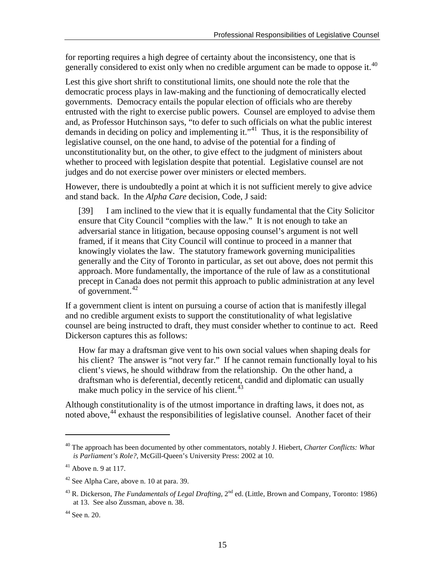for reporting requires a high degree of certainty about the inconsistency, one that is generally considered to exist only when no credible argument can be made to oppose it.<sup>[40](#page-16-0)</sup>

Lest this give short shrift to constitutional limits, one should note the role that the democratic process plays in law-making and the functioning of democratically elected governments. Democracy entails the popular election of officials who are thereby entrusted with the right to exercise public powers. Counsel are employed to advise them and, as Professor Hutchinson says, "to defer to such officials on what the public interest demands in deciding on policy and implementing it."<sup>[41](#page-16-1)</sup> Thus, it is the responsibility of legislative counsel, on the one hand, to advise of the potential for a finding of unconstitutionality but, on the other, to give effect to the judgment of ministers about whether to proceed with legislation despite that potential. Legislative counsel are not judges and do not exercise power over ministers or elected members.

However, there is undoubtedly a point at which it is not sufficient merely to give advice and stand back. In the *Alpha Care* decision, Code, J said:

[39] I am inclined to the view that it is equally fundamental that the City Solicitor ensure that City Council "complies with the law." It is not enough to take an adversarial stance in litigation, because opposing counsel's argument is not well framed, if it means that City Council will continue to proceed in a manner that knowingly violates the law. The statutory framework governing municipalities generally and the City of Toronto in particular, as set out above, does not permit this approach. More fundamentally, the importance of the rule of law as a constitutional precept in Canada does not permit this approach to public administration at any level of government. $42$ 

If a government client is intent on pursuing a course of action that is manifestly illegal and no credible argument exists to support the constitutionality of what legislative counsel are being instructed to draft, they must consider whether to continue to act. Reed Dickerson captures this as follows:

<span id="page-16-5"></span>How far may a draftsman give vent to his own social values when shaping deals for his client? The answer is "not very far." If he cannot remain functionally loyal to his client's views, he should withdraw from the relationship. On the other hand, a draftsman who is deferential, decently reticent, candid and diplomatic can usually make much policy in the service of his client. $43$ 

Although constitutionality is of the utmost importance in drafting laws, it does not, as noted above,<sup>[44](#page-16-4)</sup> exhaust the responsibilities of legislative counsel. Another facet of their

<span id="page-16-0"></span><sup>40</sup> The approach has been documented by other commentators, notably J. Hiebert, *Charter Conflicts: What is Parliament's Role?*, McGill-Queen's University Press: 2002 at 10.

<span id="page-16-1"></span> $41$  Above n. [9](#page-6-5) at 117.

<span id="page-16-2"></span><sup>42</sup> See Alpha Care, above n. [10](#page-6-6) at para. 39.

<span id="page-16-3"></span><sup>&</sup>lt;sup>43</sup> R. Dickerson, *The Fundamentals of Legal Drafting*,  $2^{nd}$  ed. (Little, Brown and Company, Toronto: 1986) at 13. See also Zussman, above n. [38.](#page-15-6)

<span id="page-16-4"></span> $44$  See n. [20.](#page-8-5)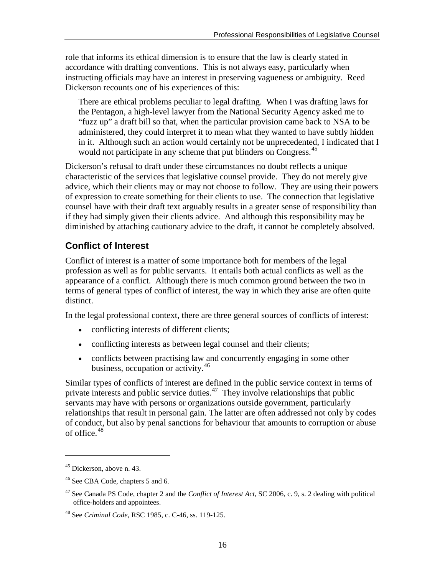role that informs its ethical dimension is to ensure that the law is clearly stated in accordance with drafting conventions. This is not always easy, particularly when instructing officials may have an interest in preserving vagueness or ambiguity. Reed Dickerson recounts one of his experiences of this:

There are ethical problems peculiar to legal drafting. When I was drafting laws for the Pentagon, a high-level lawyer from the National Security Agency asked me to "fuzz up" a draft bill so that, when the particular provision came back to NSA to be administered, they could interpret it to mean what they wanted to have subtly hidden in it. Although such an action would certainly not be unprecedented, I indicated that I would not participate in any scheme that put blinders on Congress.<sup>[45](#page-17-1)</sup>

Dickerson's refusal to draft under these circumstances no doubt reflects a unique characteristic of the services that legislative counsel provide. They do not merely give advice, which their clients may or may not choose to follow. They are using their powers of expression to create something for their clients to use. The connection that legislative counsel have with their draft text arguably results in a greater sense of responsibility than if they had simply given their clients advice. And although this responsibility may be diminished by attaching cautionary advice to the draft, it cannot be completely absolved.

## <span id="page-17-0"></span>**Conflict of Interest**

Conflict of interest is a matter of some importance both for members of the legal profession as well as for public servants. It entails both actual conflicts as well as the appearance of a conflict. Although there is much common ground between the two in terms of general types of conflict of interest, the way in which they arise are often quite distinct.

In the legal professional context, there are three general sources of conflicts of interest:

- conflicting interests of different clients;
- conflicting interests as between legal counsel and their clients;
- <span id="page-17-6"></span>• conflicts between practising law and concurrently engaging in some other business, occupation or activity.<sup>[46](#page-17-2)</sup>

Similar types of conflicts of interest are defined in the public service context in terms of private interests and public service duties.<sup>[47](#page-17-3)</sup> They involve relationships that public servants may have with persons or organizations outside government, particularly relationships that result in personal gain. The latter are often addressed not only by codes of conduct, but also by penal sanctions for behaviour that amounts to corruption or abuse of office.<sup>[48](#page-17-4)</sup>

<span id="page-17-5"></span><span id="page-17-1"></span><sup>45</sup> Dickerson, above n. [43.](#page-16-5)

<span id="page-17-2"></span><sup>&</sup>lt;sup>46</sup> See CBA Code, chapters 5 and 6.

<span id="page-17-3"></span><sup>47</sup> See Canada PS Code, chapter 2 and the *Conflict of Interest Act*, SC 2006, c. 9, s. 2 dealing with political office-holders and appointees.

<span id="page-17-4"></span><sup>48</sup> See *Criminal Code*, RSC 1985, c. C-46, ss. 119-125.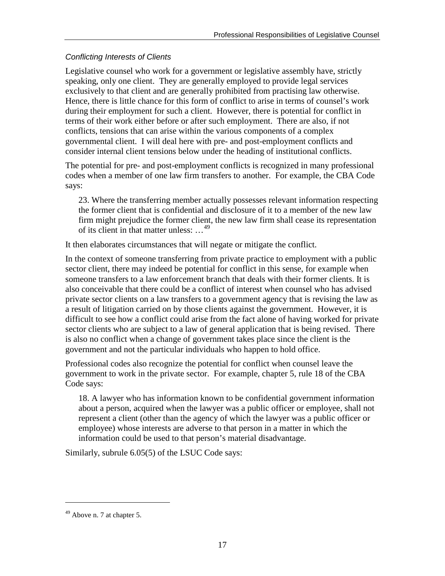## <span id="page-18-0"></span>*Conflicting Interests of Clients*

Legislative counsel who work for a government or legislative assembly have, strictly speaking, only one client. They are generally employed to provide legal services exclusively to that client and are generally prohibited from practising law otherwise. Hence, there is little chance for this form of conflict to arise in terms of counsel's work during their employment for such a client. However, there is potential for conflict in terms of their work either before or after such employment. There are also, if not conflicts, tensions that can arise within the various components of a complex governmental client. I will deal here with pre- and post-employment conflicts and consider internal client tensions below under the heading of institutional conflicts.

The potential for pre- and post-employment conflicts is recognized in many professional codes when a member of one law firm transfers to another. For example, the CBA Code says:

23. Where the transferring member actually possesses relevant information respecting the former client that is confidential and disclosure of it to a member of the new law firm might prejudice the former client, the new law firm shall cease its representation of its client in that matter unless: …[49](#page-18-1)

It then elaborates circumstances that will negate or mitigate the conflict.

In the context of someone transferring from private practice to employment with a public sector client, there may indeed be potential for conflict in this sense, for example when someone transfers to a law enforcement branch that deals with their former clients. It is also conceivable that there could be a conflict of interest when counsel who has advised private sector clients on a law transfers to a government agency that is revising the law as a result of litigation carried on by those clients against the government. However, it is difficult to see how a conflict could arise from the fact alone of having worked for private sector clients who are subject to a law of general application that is being revised. There is also no conflict when a change of government takes place since the client is the government and not the particular individuals who happen to hold office.

Professional codes also recognize the potential for conflict when counsel leave the government to work in the private sector. For example, chapter 5, rule 18 of the CBA Code says:

18. A lawyer who has information known to be confidential government information about a person, acquired when the lawyer was a public officer or employee, shall not represent a client (other than the agency of which the lawyer was a public officer or employee) whose interests are adverse to that person in a matter in which the information could be used to that person's material disadvantage.

Similarly, subrule 6.05(5) of the LSUC Code says:

<span id="page-18-1"></span> $49$  Above n. [7](#page-5-5) at chapter 5.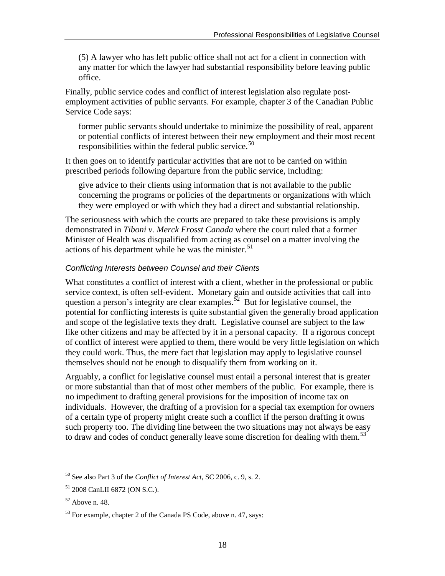(5) A lawyer who has left public office shall not act for a client in connection with any matter for which the lawyer had substantial responsibility before leaving public office.

Finally, public service codes and conflict of interest legislation also regulate postemployment activities of public servants. For example, chapter 3 of the Canadian Public Service Code says:

former public servants should undertake to minimize the possibility of real, apparent or potential conflicts of interest between their new employment and their most recent responsibilities within the federal public service.<sup>[50](#page-19-1)</sup>

It then goes on to identify particular activities that are not to be carried on within prescribed periods following departure from the public service, including:

give advice to their clients using information that is not available to the public concerning the programs or policies of the departments or organizations with which they were employed or with which they had a direct and substantial relationship.

The seriousness with which the courts are prepared to take these provisions is amply demonstrated in *Tiboni v. Merck Frosst Canada* where the court ruled that a former Minister of Health was disqualified from acting as counsel on a matter involving the actions of his department while he was the minister.<sup>[51](#page-19-2)</sup>

#### <span id="page-19-0"></span>*Conflicting Interests between Counsel and their Clients*

What constitutes a conflict of interest with a client, whether in the professional or public service context, is often self-evident. Monetary gain and outside activities that call into question a person's integrity are clear examples.<sup>[52](#page-19-3)</sup> But for legislative counsel, the potential for conflicting interests is quite substantial given the generally broad application and scope of the legislative texts they draft. Legislative counsel are subject to the law like other citizens and may be affected by it in a personal capacity. If a rigorous concept of conflict of interest were applied to them, there would be very little legislation on which they could work. Thus, the mere fact that legislation may apply to legislative counsel themselves should not be enough to disqualify them from working on it.

Arguably, a conflict for legislative counsel must entail a personal interest that is greater or more substantial than that of most other members of the public. For example, there is no impediment to drafting general provisions for the imposition of income tax on individuals. However, the drafting of a provision for a special tax exemption for owners of a certain type of property might create such a conflict if the person drafting it owns such property too. The dividing line between the two situations may not always be easy to draw and codes of conduct generally leave some discretion for dealing with them.<sup>[53](#page-19-4)</sup>

<span id="page-19-1"></span><sup>50</sup> See also Part 3 of the *Conflict of Interest Act*, SC 2006, c. 9, s. 2.

<span id="page-19-2"></span><sup>51</sup> 2008 CanLII 6872 (ON S.C.).

<span id="page-19-3"></span> $52$  Above n. [48.](#page-17-5)

<span id="page-19-4"></span> $53$  For example, chapter 2 of the Canada PS Code, above n. [47,](#page-17-6) says: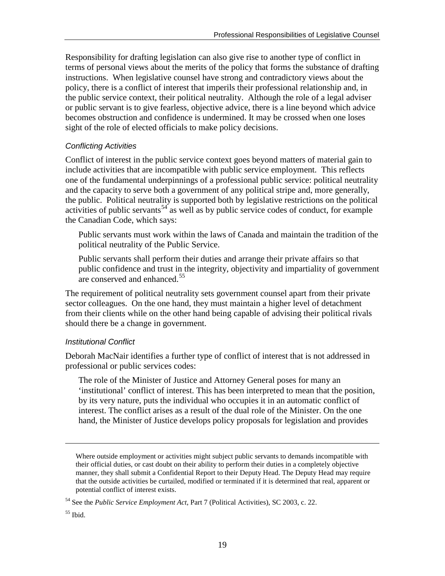Responsibility for drafting legislation can also give rise to another type of conflict in terms of personal views about the merits of the policy that forms the substance of drafting instructions. When legislative counsel have strong and contradictory views about the policy, there is a conflict of interest that imperils their professional relationship and, in the public service context, their political neutrality. Although the role of a legal adviser or public servant is to give fearless, objective advice, there is a line beyond which advice becomes obstruction and confidence is undermined. It may be crossed when one loses sight of the role of elected officials to make policy decisions.

#### <span id="page-20-0"></span>*Conflicting Activities*

Conflict of interest in the public service context goes beyond matters of material gain to include activities that are incompatible with public service employment. This reflects one of the fundamental underpinnings of a professional public service: political neutrality and the capacity to serve both a government of any political stripe and, more generally, the public. Political neutrality is supported both by legislative restrictions on the political activities of public servants<sup>[54](#page-20-2)</sup> as well as by public service codes of conduct, for example the Canadian Code, which says:

Public servants must work within the laws of Canada and maintain the tradition of the political neutrality of the Public Service.

Public servants shall perform their duties and arrange their private affairs so that public confidence and trust in the integrity, objectivity and impartiality of government are conserved and enhanced.[55](#page-20-3)

The requirement of political neutrality sets government counsel apart from their private sector colleagues. On the one hand, they must maintain a higher level of detachment from their clients while on the other hand being capable of advising their political rivals should there be a change in government.

#### <span id="page-20-1"></span>*Institutional Conflict*

Deborah MacNair identifies a further type of conflict of interest that is not addressed in professional or public services codes:

The role of the Minister of Justice and Attorney General poses for many an 'institutional' conflict of interest. This has been interpreted to mean that the position, by its very nature, puts the individual who occupies it in an automatic conflict of interest. The conflict arises as a result of the dual role of the Minister. On the one hand, the Minister of Justice develops policy proposals for legislation and provides

Where outside employment or activities might subject public servants to demands incompatible with their official duties, or cast doubt on their ability to perform their duties in a completely objective manner, they shall submit a Confidential Report to their Deputy Head. The Deputy Head may require that the outside activities be curtailed, modified or terminated if it is determined that real, apparent or potential conflict of interest exists.

<span id="page-20-2"></span><sup>54</sup> See the *Public Service Employment Act*, Part 7 (Political Activities), SC 2003, c. 22.

<span id="page-20-3"></span> $55$  Ibid.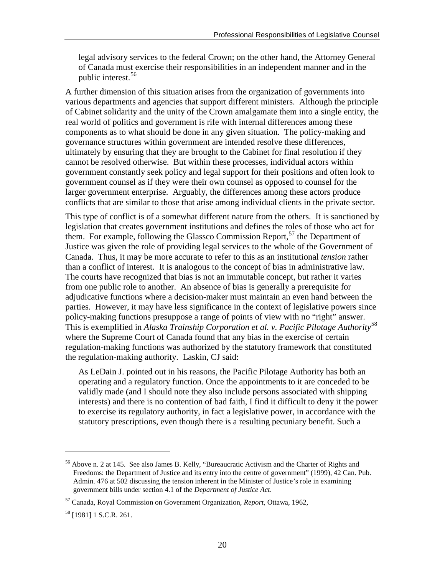legal advisory services to the federal Crown; on the other hand, the Attorney General of Canada must exercise their responsibilities in an independent manner and in the public interest.[56](#page-21-0)

A further dimension of this situation arises from the organization of governments into various departments and agencies that support different ministers. Although the principle of Cabinet solidarity and the unity of the Crown amalgamate them into a single entity, the real world of politics and government is rife with internal differences among these components as to what should be done in any given situation. The policy-making and governance structures within government are intended resolve these differences, ultimately by ensuring that they are brought to the Cabinet for final resolution if they cannot be resolved otherwise. But within these processes, individual actors within government constantly seek policy and legal support for their positions and often look to government counsel as if they were their own counsel as opposed to counsel for the larger government enterprise. Arguably, the differences among these actors produce conflicts that are similar to those that arise among individual clients in the private sector.

This type of conflict is of a somewhat different nature from the others. It is sanctioned by legislation that creates government institutions and defines the roles of those who act for them. For example, following the Glassco Commission Report,  $57$  the Department of Justice was given the role of providing legal services to the whole of the Government of Canada. Thus, it may be more accurate to refer to this as an institutional *tension* rather than a conflict of interest. It is analogous to the concept of bias in administrative law. The courts have recognized that bias is not an immutable concept, but rather it varies from one public role to another. An absence of bias is generally a prerequisite for adjudicative functions where a decision-maker must maintain an even hand between the parties. However, it may have less significance in the context of legislative powers since policy-making functions presuppose a range of points of view with no "right" answer. This is exemplified in *Alaska Trainship Corporation et al. v. Pacific Pilotage Authority*[58](#page-21-2) where the Supreme Court of Canada found that any bias in the exercise of certain regulation-making functions was authorized by the statutory framework that constituted the regulation-making authority. Laskin, CJ said:

As LeDain J. pointed out in his reasons, the Pacific Pilotage Authority has both an operating and a regulatory function. Once the appointments to it are conceded to be validly made (and I should note they also include persons associated with shipping interests) and there is no contention of bad faith, I find it difficult to deny it the power to exercise its regulatory authority, in fact a legislative power, in accordance with the statutory prescriptions, even though there is a resulting pecuniary benefit. Such a

<span id="page-21-0"></span><sup>56</sup> Above n. [2](#page-3-1) at 145. See also James B. Kelly, "Bureaucratic Activism and the Charter of Rights and Freedoms: the Department of Justice and its entry into the centre of government" (1999), 42 Can. Pub. Admin. 476 at 502 discussing the tension inherent in the Minister of Justice's role in examining government bills under section 4.1 of the *Department of Justice Act*.

<span id="page-21-1"></span><sup>57</sup> Canada, Royal Commission on Government Organization, *Report*, Ottawa, 1962,

<span id="page-21-2"></span><sup>58</sup> [1981] 1 S.C.R. 261.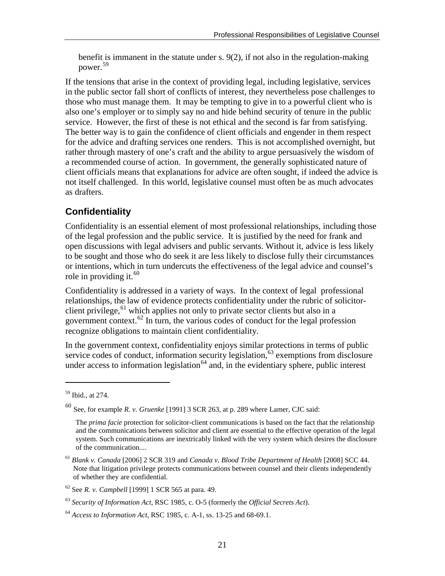benefit is immanent in the statute under s. 9(2), if not also in the regulation-making power.[59](#page-22-1)

If the tensions that arise in the context of providing legal, including legislative, services in the public sector fall short of conflicts of interest, they nevertheless pose challenges to those who must manage them. It may be tempting to give in to a powerful client who is also one's employer or to simply say no and hide behind security of tenure in the public service. However, the first of these is not ethical and the second is far from satisfying. The better way is to gain the confidence of client officials and engender in them respect for the advice and drafting services one renders. This is not accomplished overnight, but rather through mastery of one's craft and the ability to argue persuasively the wisdom of a recommended course of action. In government, the generally sophisticated nature of client officials means that explanations for advice are often sought, if indeed the advice is not itself challenged. In this world, legislative counsel must often be as much advocates as drafters.

## <span id="page-22-0"></span>**Confidentiality**

Confidentiality is an essential element of most professional relationships, including those of the legal profession and the public service. It is justified by the need for frank and open discussions with legal advisers and public servants. Without it, advice is less likely to be sought and those who do seek it are less likely to disclose fully their circumstances or intentions, which in turn undercuts the effectiveness of the legal advice and counsel's role in providing it.  $60$ 

Confidentiality is addressed in a variety of ways. In the context of legal professional relationships, the law of evidence protects confidentiality under the rubric of solicitorclient privilege, $61$  which applies not only to private sector clients but also in a government context.[62](#page-22-4) In turn, the various codes of conduct for the legal profession recognize obligations to maintain client confidentiality.

<span id="page-22-7"></span>In the government context, confidentiality enjoys similar protections in terms of public service codes of conduct, information security legislation, <sup>[63](#page-22-5)</sup> exemptions from disclosure under access to information legislation $^{64}$  $^{64}$  $^{64}$  and, in the evidentiary sphere, public interest

<span id="page-22-1"></span><sup>59</sup> Ibid., at 274.

<span id="page-22-2"></span><sup>60</sup> See, for example *R. v. Gruenke* [1991] 3 SCR 263, at p. 289 where Lamer, CJC said:

The *prima facie* protection for solicitor-client communications is based on the fact that the relationship and the communications between solicitor and client are essential to the effective operation of the legal system. Such communications are inextricably linked with the very system which desires the disclosure of the communication....

<span id="page-22-3"></span><sup>61</sup> *Blank v. Canada* [2006] 2 SCR 319 and *Canada v. Blood Tribe Department of Health* [2008] SCC 44. Note that litigation privilege protects communications between counsel and their clients independently of whether they are confidential.

<span id="page-22-4"></span><sup>62</sup> See *R. v. Campbell* [1999] 1 SCR 565 at para. 49.

<span id="page-22-5"></span><sup>63</sup> *Security of Information Act*, RSC 1985, c. O-5 (formerly the *Official Secrets Act*).

<span id="page-22-6"></span><sup>64</sup> *Access to Information Act*, RSC 1985, c. A-1, ss. 13-25 and 68-69.1.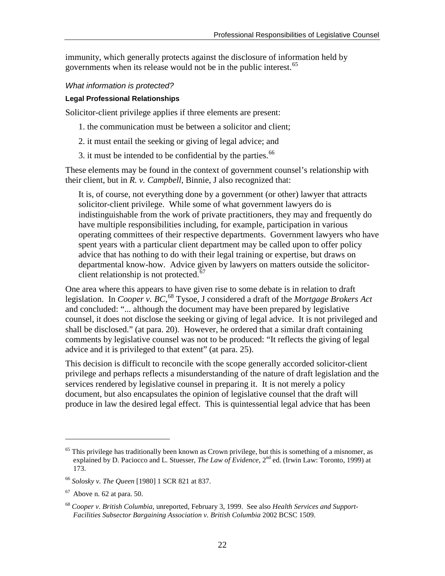immunity, which generally protects against the disclosure of information held by governments when its release would not be in the public interest.<sup>[65](#page-23-1)</sup>

#### <span id="page-23-0"></span>*What information is protected?*

#### **Legal Professional Relationships**

Solicitor-client privilege applies if three elements are present:

- <span id="page-23-5"></span>1. the communication must be between a solicitor and client;
- 2. it must entail the seeking or giving of legal advice; and
- 3. it must be intended to be confidential by the parties.  $66$

These elements may be found in the context of government counsel's relationship with their client, but in *R. v. Campbell*, Binnie, J also recognized that:

It is, of course, not everything done by a government (or other) lawyer that attracts solicitor-client privilege. While some of what government lawyers do is indistinguishable from the work of private practitioners, they may and frequently do have multiple responsibilities including, for example, participation in various operating committees of their respective departments. Government lawyers who have spent years with a particular client department may be called upon to offer policy advice that has nothing to do with their legal training or expertise, but draws on departmental know-how. Advice given by lawyers on matters outside the solicitor-client relationship is not protected.<sup>[67](#page-23-3)</sup>

One area where this appears to have given rise to some debate is in relation to draft legislation. In *Cooper v. BC*, [68](#page-23-4) Tysoe, J considered a draft of the *Mortgage Brokers Act* and concluded: "... although the document may have been prepared by legislative counsel, it does not disclose the seeking or giving of legal advice. It is not privileged and shall be disclosed." (at para. 20). However, he ordered that a similar draft containing comments by legislative counsel was not to be produced: "It reflects the giving of legal advice and it is privileged to that extent" (at para. 25).

This decision is difficult to reconcile with the scope generally accorded solicitor-client privilege and perhaps reflects a misunderstanding of the nature of draft legislation and the services rendered by legislative counsel in preparing it. It is not merely a policy document, but also encapsulates the opinion of legislative counsel that the draft will produce in law the desired legal effect. This is quintessential legal advice that has been

<span id="page-23-1"></span> $65$  This privilege has traditionally been known as Crown privilege, but this is something of a misnomer, as explained by D. Paciocco and L. Stuesser, *The Law of Evidence*, 2<sup>nd</sup> ed. (Irwin Law: Toronto, 1999) at 173.

<sup>66</sup> *Solosky v. The Queen* [1980] 1 SCR 821 at 837.

<span id="page-23-3"></span><span id="page-23-2"></span> $67$  Above n. [62](#page-22-7) at para. 50.

<span id="page-23-4"></span><sup>68</sup> *Cooper v. British Columbia*, unreported, February 3, 1999. See also *Health Services and Support-Facilities Subsector Bargaining Association v. British Columbia* 2002 BCSC 1509.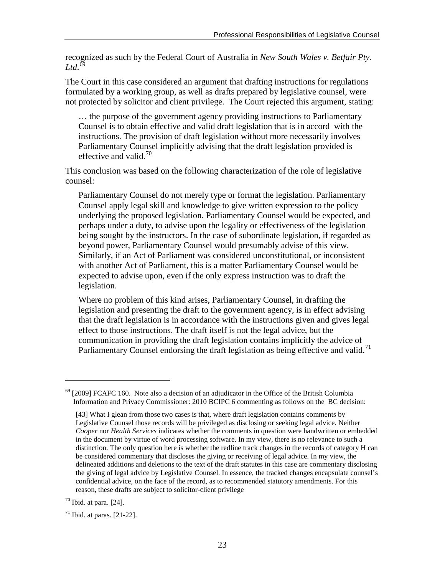<span id="page-24-3"></span>recognized as such by the Federal Court of Australia in *New South Wales v. Betfair Pty. Ltd*. [69](#page-24-0)

The Court in this case considered an argument that drafting instructions for regulations formulated by a working group, as well as drafts prepared by legislative counsel, were not protected by solicitor and client privilege. The Court rejected this argument, stating:

… the purpose of the government agency providing instructions to Parliamentary Counsel is to obtain effective and valid draft legislation that is in accord with the instructions. The provision of draft legislation without more necessarily involves Parliamentary Counsel implicitly advising that the draft legislation provided is effective and valid.<sup>[70](#page-24-1)</sup>

This conclusion was based on the following characterization of the role of legislative counsel:

Parliamentary Counsel do not merely type or format the legislation. Parliamentary Counsel apply legal skill and knowledge to give written expression to the policy underlying the proposed legislation. Parliamentary Counsel would be expected, and perhaps under a duty, to advise upon the legality or effectiveness of the legislation being sought by the instructors. In the case of subordinate legislation, if regarded as beyond power, Parliamentary Counsel would presumably advise of this view. Similarly, if an Act of Parliament was considered unconstitutional, or inconsistent with another Act of Parliament, this is a matter Parliamentary Counsel would be expected to advise upon, even if the only express instruction was to draft the legislation.

Where no problem of this kind arises, Parliamentary Counsel, in drafting the legislation and presenting the draft to the government agency, is in effect advising that the draft legislation is in accordance with the instructions given and gives legal effect to those instructions. The draft itself is not the legal advice, but the communication in providing the draft legislation contains implicitly the advice of Parliamentary Counsel endorsing the draft legislation as being effective and valid.<sup>[71](#page-24-2)</sup>

<span id="page-24-1"></span> $70$  Ibid. at para. [24].

 $\overline{a}$ 

<span id="page-24-2"></span> $71$  Ibid. at paras. [21-22].

<span id="page-24-0"></span> $69$  [2009] FCAFC 160. Note also a decision of an adjudicator in the Office of the British Columbia Information and Privacy Commissioner: 2010 BCIPC 6 commenting as follows on the BC decision:

<sup>[43]</sup> What I glean from those two cases is that, where draft legislation contains comments by Legislative Counsel those records will be privileged as disclosing or seeking legal advice. Neither *Cooper* nor *Health Services* indicates whether the comments in question were handwritten or embedded in the document by virtue of word processing software. In my view, there is no relevance to such a distinction. The only question here is whether the redline track changes in the records of category H can be considered commentary that discloses the giving or receiving of legal advice. In my view, the delineated additions and deletions to the text of the draft statutes in this case are commentary disclosing the giving of legal advice by Legislative Counsel. In essence, the tracked changes encapsulate counsel's confidential advice, on the face of the record, as to recommended statutory amendments. For this reason, these drafts are subject to solicitor-client privilege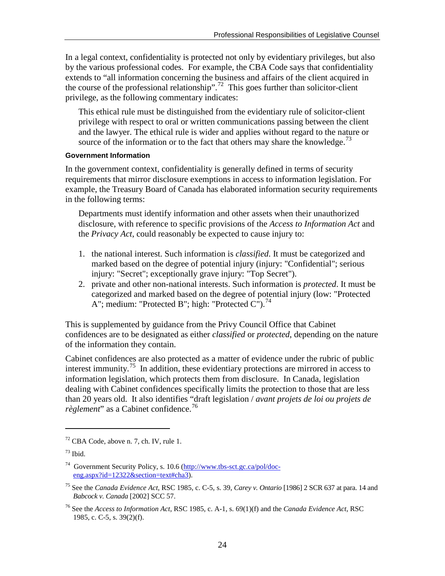In a legal context, confidentiality is protected not only by evidentiary privileges, but also by the various professional codes. For example, the CBA Code says that confidentiality extends to "all information concerning the business and affairs of the client acquired in the course of the professional relationship".<sup>[72](#page-25-0)</sup> This goes further than solicitor-client privilege, as the following commentary indicates:

This ethical rule must be distinguished from the evidentiary rule of solicitor-client privilege with respect to oral or written communications passing between the client and the lawyer. The ethical rule is wider and applies without regard to the nature or source of the information or to the fact that others may share the knowledge.<sup>[73](#page-25-1)</sup>

#### **Government Information**

In the government context, confidentiality is generally defined in terms of security requirements that mirror disclosure exemptions in access to information legislation. For example, the Treasury Board of Canada has elaborated information security requirements in the following terms:

Departments must identify information and other assets when their unauthorized disclosure, with reference to specific provisions of the *Access to Information Act* and the *Privacy Act*, could reasonably be expected to cause injury to:

- 1. the national interest. Such information is *classified*. It must be categorized and marked based on the degree of potential injury (injury: "Confidential"; serious injury: "Secret"; exceptionally grave injury: "Top Secret").
- 2. private and other non-national interests. Such information is *protected*. It must be categorized and marked based on the degree of potential injury (low: "Protected A"; medium: "Protected B"; high: "Protected C").  $^{74}$  $^{74}$  $^{74}$

This is supplemented by guidance from the Privy Council Office that Cabinet confidences are to be designated as either *classified* or *protected*, depending on the nature of the information they contain.

<span id="page-25-5"></span>Cabinet confidences are also protected as a matter of evidence under the rubric of public interest immunity.<sup>75</sup> In addition, these evidentiary protections are mirrored in access to information legislation, which protects them from disclosure. In Canada, legislation dealing with Cabinet confidences specifically limits the protection to those that are less than 20 years old. It also identifies "draft legislation / *avant projets de loi ou projets de règlement*" as a Cabinet confidence.<sup>[76](#page-25-4)</sup>

 $72$  CBA Code, above n[. 7,](#page-5-5) ch. IV, rule 1.

<span id="page-25-1"></span><span id="page-25-0"></span> $73$  Ibid.

<span id="page-25-2"></span><sup>&</sup>lt;sup>74</sup> Government Security Policy, s. 10.6 [\(http://www.tbs-sct.gc.ca/pol/doc](http://www.tbs-sct.gc.ca/pol/doc-eng.aspx?id=12322§ion=text#cha3)eng.aspx?id=12322 $&\text{section}$ =text#cha3).

<span id="page-25-3"></span><sup>75</sup> See the *Canada Evidence Act*, RSC 1985, c. C-5, s. 39, *Carey v. Ontario* [1986] 2 SCR 637 at para. 14 and *Babcock v. Canada* [2002] SCC 57.

<span id="page-25-4"></span><sup>76</sup> See the *Access to Information Act*, RSC 1985, c. A-1, s. 69(1)(f) and the *Canada Evidence Act*, RSC 1985, c. C-5, s. 39(2)(f).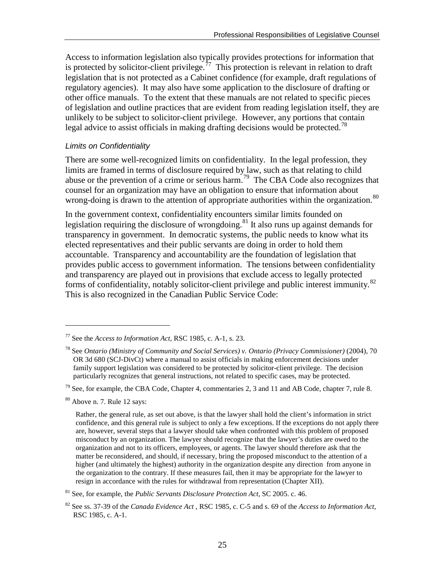Access to information legislation also typically provides protections for information that is protected by solicitor-client privilege.<sup> $77$ </sup> This protection is relevant in relation to draft legislation that is not protected as a Cabinet confidence (for example, draft regulations of regulatory agencies). It may also have some application to the disclosure of drafting or other office manuals. To the extent that these manuals are not related to specific pieces of legislation and outline practices that are evident from reading legislation itself, they are unlikely to be subject to solicitor-client privilege. However, any portions that contain legal advice to assist officials in making drafting decisions would be protected.<sup>[78](#page-26-2)</sup>

#### <span id="page-26-0"></span>*Limits on Confidentiality*

There are some well-recognized limits on confidentiality. In the legal profession, they limits are framed in terms of disclosure required by law, such as that relating to child abuse or the prevention of a crime or serious harm.<sup>[79](#page-26-3)</sup> The CBA Code also recognizes that counsel for an organization may have an obligation to ensure that information about wrong-doing is drawn to the attention of appropriate authorities within the organization.<sup>[80](#page-26-4)</sup>

In the government context, confidentiality encounters similar limits founded on legislation requiring the disclosure of wrongdoing.<sup>[81](#page-26-5)</sup> It also runs up against demands for transparency in government. In democratic systems, the public needs to know what its elected representatives and their public servants are doing in order to hold them accountable. Transparency and accountability are the foundation of legislation that provides public access to government information. The tensions between confidentiality and transparency are played out in provisions that exclude access to legally protected forms of confidentiality, notably solicitor-client privilege and public interest immunity.[82](#page-26-6) This is also recognized in the Canadian Public Service Code:

<span id="page-26-1"></span><sup>77</sup> See the *Access to Information Act*, RSC 1985, c. A-1, s. 23.

<span id="page-26-2"></span><sup>78</sup> See *Ontario (Ministry of Community and Social Services) v. Ontario (Privacy Commissioner)* (2004), 70 OR 3d 680 (SCJ-DivCt) where a manual to assist officials in making enforcement decisions under family support legislation was considered to be protected by solicitor-client privilege. The decision particularly recognizes that general instructions, not related to specific cases, may be protected.

<span id="page-26-3"></span> $^{79}$  See, for example, the CBA Code, Chapter 4, commentaries 2, 3 and 11 and AB Code, chapter 7, rule 8.

<span id="page-26-4"></span> $80$  Above n. [7.](#page-5-5) Rule 12 says:

Rather, the general rule, as set out above, is that the lawyer shall hold the client's information in strict confidence, and this general rule is subject to only a few exceptions. If the exceptions do not apply there are, however, several steps that a lawyer should take when confronted with this problem of proposed misconduct by an organization. The lawyer should recognize that the lawyer's duties are owed to the organization and not to its officers, employees, or agents. The lawyer should therefore ask that the matter be reconsidered, and should, if necessary, bring the proposed misconduct to the attention of a higher (and ultimately the highest) authority in the organization despite any direction from anyone in the organization to the contrary. If these measures fail, then it may be appropriate for the lawyer to resign in accordance with the rules for withdrawal from representation (Chapter XII).

<span id="page-26-5"></span><sup>81</sup> See, for example, the *Public Servants Disclosure Protection Act,* SC 2005. c. 46.

<span id="page-26-6"></span><sup>82</sup> See ss. 37-39 of the *Canada Evidence Act* , RSC 1985, c. C-5 and s. 69 of the *Access to Information Act*, RSC 1985, c. A-1.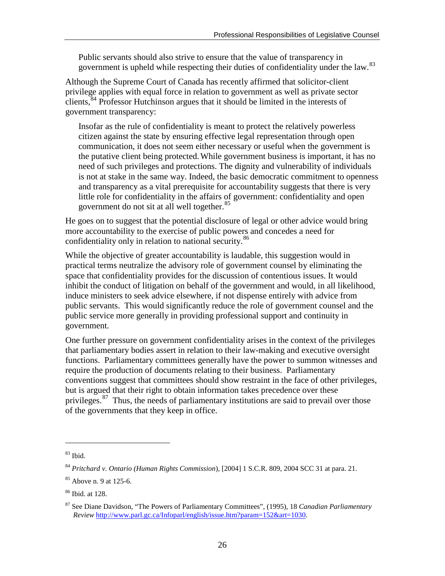Public servants should also strive to ensure that the value of transparency in government is upheld while respecting their duties of confidentiality under the law.[83](#page-27-0)

Although the Supreme Court of Canada has recently affirmed that solicitor-client privilege applies with equal force in relation to government as well as private sector clients,<sup>[84](#page-27-1)</sup> Professor Hutchinson argues that it should be limited in the interests of government transparency:

Insofar as the rule of confidentiality is meant to protect the relatively powerless citizen against the state by ensuring effective legal representation through open communication, it does not seem either necessary or useful when the government is the putative client being protected.While government business is important, it has no need of such privileges and protections. The dignity and vulnerability of individuals is not at stake in the same way. Indeed, the basic democratic commitment to openness and transparency as a vital prerequisite for accountability suggests that there is very little role for confidentiality in the affairs of government: confidentiality and open government do not sit at all well together. [85](#page-27-2)

He goes on to suggest that the potential disclosure of legal or other advice would bring more accountability to the exercise of public powers and concedes a need for confidentiality only in relation to national security.<sup>[86](#page-27-3)</sup>

While the objective of greater accountability is laudable, this suggestion would in practical terms neutralize the advisory role of government counsel by eliminating the space that confidentiality provides for the discussion of contentious issues. It would inhibit the conduct of litigation on behalf of the government and would, in all likelihood, induce ministers to seek advice elsewhere, if not dispense entirely with advice from public servants. This would significantly reduce the role of government counsel and the public service more generally in providing professional support and continuity in government.

One further pressure on government confidentiality arises in the context of the privileges that parliamentary bodies assert in relation to their law-making and executive oversight functions. Parliamentary committees generally have the power to summon witnesses and require the production of documents relating to their business. Parliamentary conventions suggest that committees should show restraint in the face of other privileges, but is argued that their right to obtain information takes precedence over these privileges.<sup>[87](#page-27-4)</sup> Thus, the needs of parliamentary institutions are said to prevail over those of the governments that they keep in office.

<span id="page-27-0"></span> $83$  Ibid.

<span id="page-27-1"></span><sup>84</sup> *Pritchard v. Ontario (Human Rights Commission*)*,* [2004] 1 S.C.R. 809, 2004 SCC 31 at para. 21.

<span id="page-27-2"></span><sup>&</sup>lt;sup>85</sup> Above n. [9](#page-6-5) at 125-6.

<sup>86</sup> Ibid. at 128.

<span id="page-27-4"></span><span id="page-27-3"></span><sup>87</sup> See Diane Davidson, "The Powers of Parliamentary Committees", (1995), 18 *Canadian Parliamentary Review* [http://www.parl.gc.ca/Infoparl/english/issue.htm?param=152&art=1030.](http://www.parl.gc.ca/Infoparl/english/issue.htm?param=152&art=1030)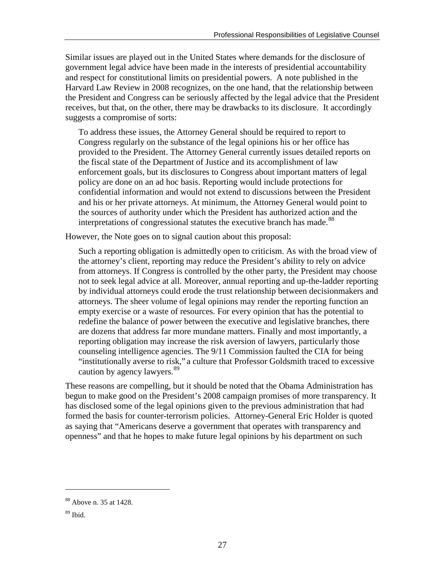Similar issues are played out in the United States where demands for the disclosure of government legal advice have been made in the interests of presidential accountability and respect for constitutional limits on presidential powers. A note published in the Harvard Law Review in 2008 recognizes, on the one hand, that the relationship between the President and Congress can be seriously affected by the legal advice that the President receives, but that, on the other, there may be drawbacks to its disclosure. It accordingly suggests a compromise of sorts:

To address these issues, the Attorney General should be required to report to Congress regularly on the substance of the legal opinions his or her office has provided to the President. The Attorney General currently issues detailed reports on the fiscal state of the Department of Justice and its accomplishment of law enforcement goals, but its disclosures to Congress about important matters of legal policy are done on an ad hoc basis. Reporting would include protections for confidential information and would not extend to discussions between the President and his or her private attorneys. At minimum, the Attorney General would point to the sources of authority under which the President has authorized action and the interpretations of congressional statutes the executive branch has made.<sup>[88](#page-28-0)</sup>

However, the Note goes on to signal caution about this proposal:

Such a reporting obligation is admittedly open to criticism. As with the broad view of the attorney's client, reporting may reduce the President's ability to rely on advice from attorneys. If Congress is controlled by the other party, the President may choose not to seek legal advice at all. Moreover, annual reporting and up-the-ladder reporting by individual attorneys could erode the trust relationship between decisionmakers and attorneys. The sheer volume of legal opinions may render the reporting function an empty exercise or a waste of resources. For every opinion that has the potential to redefine the balance of power between the executive and legislative branches, there are dozens that address far more mundane matters. Finally and most importantly, a reporting obligation may increase the risk aversion of lawyers, particularly those counseling intelligence agencies. The 9/11 Commission faulted the CIA for being "institutionally averse to risk," a culture that Professor Goldsmith traced to excessive caution by agency lawyers.<sup>[89](#page-28-1)</sup>

These reasons are compelling, but it should be noted that the Obama Administration has begun to make good on the President's 2008 campaign promises of more transparency. It has disclosed some of the legal opinions given to the previous administration that had formed the basis for counter-terrorism policies. Attorney-General Eric Holder is quoted as saying that "Americans deserve a government that operates with transparency and openness" and that he hopes to make future legal opinions by his department on such

<span id="page-28-0"></span><sup>88</sup> Above n. [35](#page-15-7) at 1428.

<span id="page-28-1"></span> $89$  Ibid.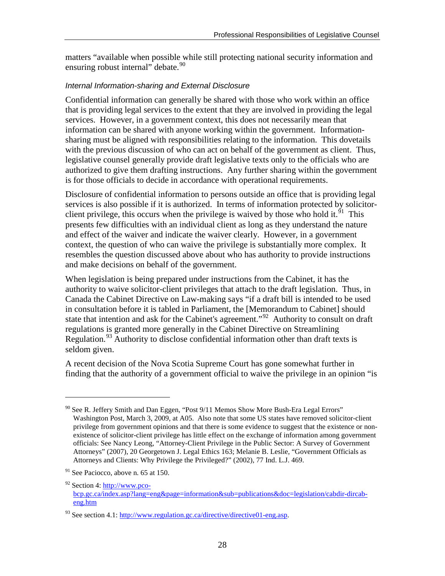matters "available when possible while still protecting national security information and ensuring robust internal" debate.<sup>[90](#page-29-1)</sup>

### <span id="page-29-0"></span>*Internal Information-sharing and External Disclosure*

Confidential information can generally be shared with those who work within an office that is providing legal services to the extent that they are involved in providing the legal services. However, in a government context, this does not necessarily mean that information can be shared with anyone working within the government. Informationsharing must be aligned with responsibilities relating to the information. This dovetails with the previous discussion of who can act on behalf of the government as client. Thus, legislative counsel generally provide draft legislative texts only to the officials who are authorized to give them drafting instructions. Any further sharing within the government is for those officials to decide in accordance with operational requirements.

Disclosure of confidential information to persons outside an office that is providing legal services is also possible if it is authorized. In terms of information protected by solicitor-client privilege, this occurs when the privilege is waived by those who hold it.<sup>[91](#page-29-2)</sup> This presents few difficulties with an individual client as long as they understand the nature and effect of the waiver and indicate the waiver clearly. However, in a government context, the question of who can waive the privilege is substantially more complex. It resembles the question discussed above about who has authority to provide instructions and make decisions on behalf of the government.

When legislation is being prepared under instructions from the Cabinet, it has the authority to waive solicitor-client privileges that attach to the draft legislation. Thus, in Canada the Cabinet Directive on Law-making says "if a draft bill is intended to be used in consultation before it is tabled in Parliament, the [Memorandum to Cabinet] should state that intention and ask for the Cabinet's agreement."<sup>92</sup> Authority to consult on draft regulations is granted more generally in the Cabinet Directive on Streamlining Regulation.<sup>[93](#page-29-4)</sup> Authority to disclose confidential information other than draft texts is seldom given.

A recent decision of the Nova Scotia Supreme Court has gone somewhat further in finding that the authority of a government official to waive the privilege in an opinion "is

<span id="page-29-1"></span> $90$  See R. Jeffery Smith and Dan Eggen, "Post  $9/11$  Memos Show More Bush-Era Legal Errors" Washington Post, March 3, 2009, at A05. Also note that some US states have removed solicitor-client privilege from government opinions and that there is some evidence to suggest that the existence or nonexistence of solicitor-client privilege has little effect on the exchange of information among government officials: See Nancy Leong, "Attorney-Client Privilege in the Public Sector: A Survey of Government Attorneys" (2007), 20 Georgetown J. Legal Ethics 163; Melanie B. Leslie, "Government Officials as Attorneys and Clients: Why Privilege the Privileged?" (2002), 77 Ind. L.J. 469.

<span id="page-29-2"></span> $91$  See Paciocco, above n. [65](#page-23-5) at 150.

<span id="page-29-3"></span> $92$  Section 4: [http://www.pco](http://www.pco-bcp.gc.ca/index.asp?lang=eng&page=information&sub=publications&doc=legislation/cabdir-dircab-eng.htm)[bcp.gc.ca/index.asp?lang=eng&page=information&sub=publications&doc=legislation/cabdir-dircab](http://www.pco-bcp.gc.ca/index.asp?lang=eng&page=information&sub=publications&doc=legislation/cabdir-dircab-eng.htm)[eng.htm](http://www.pco-bcp.gc.ca/index.asp?lang=eng&page=information&sub=publications&doc=legislation/cabdir-dircab-eng.htm)

<span id="page-29-4"></span> $93$  See section 4.1[: http://www.regulation.gc.ca/directive/directive01-eng.asp.](http://www.regulation.gc.ca/directive/directive01-eng.asp)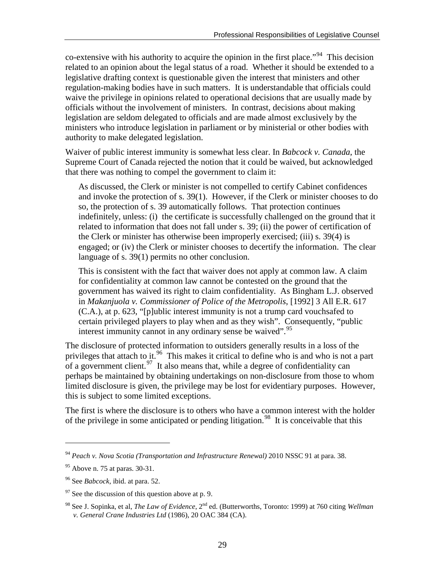co-extensive with his authority to acquire the opinion in the first place.<sup> $.94$  $.94$ </sup> This decision related to an opinion about the legal status of a road. Whether it should be extended to a legislative drafting context is questionable given the interest that ministers and other regulation-making bodies have in such matters. It is understandable that officials could waive the privilege in opinions related to operational decisions that are usually made by officials without the involvement of ministers. In contrast, decisions about making legislation are seldom delegated to officials and are made almost exclusively by the ministers who introduce legislation in parliament or by ministerial or other bodies with authority to make delegated legislation.

Waiver of public interest immunity is somewhat less clear. In *Babcock v. Canada*, the Supreme Court of Canada rejected the notion that it could be waived, but acknowledged that there was nothing to compel the government to claim it:

As discussed, the Clerk or minister is not compelled to certify Cabinet confidences and invoke the protection of s. 39(1). However, if the Clerk or minister chooses to do so, the protection of s. 39 automatically follows. That protection continues indefinitely, unless: (i) the certificate is successfully challenged on the ground that it related to information that does not fall under s. 39; (ii) the power of certification of the Clerk or minister has otherwise been improperly exercised; (iii) s. 39(4) is engaged; or (iv) the Clerk or minister chooses to decertify the information. The clear language of s. 39(1) permits no other conclusion.

This is consistent with the fact that waiver does not apply at common law. A claim for confidentiality at common law cannot be contested on the ground that the government has waived its right to claim confidentiality. As Bingham L.J. observed in *Makanjuola v. Commissioner of Police of the Metropolis*, [1992] 3 All E.R. 617 (C.A.), at p. 623, "[p]ublic interest immunity is not a trump card vouchsafed to certain privileged players to play when and as they wish". Consequently, "public interest immunity cannot in any ordinary sense be waived". $^{95}$  $^{95}$  $^{95}$ 

The disclosure of protected information to outsiders generally results in a loss of the privileges that attach to it.<sup>96</sup> This makes it critical to define who is and who is not a part of a government client.<sup>[97](#page-30-3)</sup> It also means that, while a degree of confidentiality can perhaps be maintained by obtaining undertakings on non-disclosure from those to whom limited disclosure is given, the privilege may be lost for evidentiary purposes. However, this is subject to some limited exceptions.

The first is where the disclosure is to others who have a common interest with the holder of the privilege in some anticipated or pending litigation.<sup>[98](#page-30-4)</sup> It is conceivable that this

<span id="page-30-0"></span><sup>94</sup> *Peach v. Nova Scotia (Transportation and Infrastructure Renewal)* 2010 NSSC 91 at para. 38.

<span id="page-30-1"></span> $95$  Above n. [75](#page-25-5) at paras. 30-31.

<span id="page-30-2"></span><sup>96</sup> See *Babcock,* ibid. at para. 52.

<span id="page-30-3"></span> $97$  See the discussion of this question above at p. [9.](#page-10-0)

<span id="page-30-4"></span><sup>98</sup> See J. Sopinka, et al, *The Law of Evidence*, 2nd ed. (Butterworths, Toronto: 1999) at 760 citing *Wellman v. General Crane Industries Ltd* (1986), 20 OAC 384 (CA).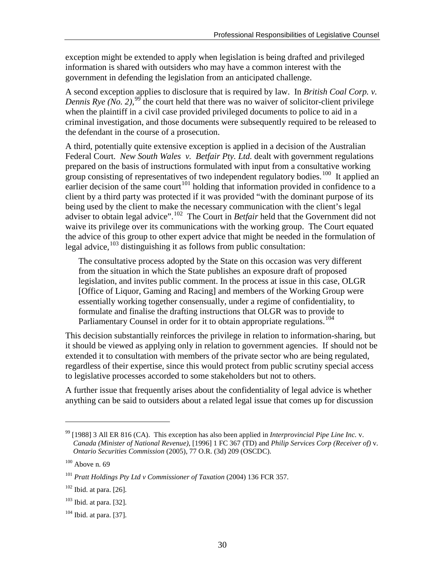exception might be extended to apply when legislation is being drafted and privileged information is shared with outsiders who may have a common interest with the government in defending the legislation from an anticipated challenge.

A second exception applies to disclosure that is required by law. In *British Coal Corp. v. Dennis Rye (No. 2)*,  $99^{\circ}$  $99^{\circ}$  the court held that there was no waiver of solicitor-client privilege when the plaintiff in a civil case provided privileged documents to police to aid in a criminal investigation, and those documents were subsequently required to be released to the defendant in the course of a prosecution.

A third, potentially quite extensive exception is applied in a decision of the Australian Federal Court. *New South Wales v. Betfair Pty. Ltd.* dealt with government regulations prepared on the basis of instructions formulated with input from a consultative working group consisting of representatives of two independent regulatory bodies.<sup>100</sup> It applied an earlier decision of the same court<sup>[101](#page-31-2)</sup> holding that information provided in confidence to a client by a third party was protected if it was provided "with the dominant purpose of its being used by the client to make the necessary communication with the client's legal adviser to obtain legal advice".<sup>102</sup> The Court in *Betfair* held that the Government did not waive its privilege over its communications with the working group. The Court equated the advice of this group to other expert advice that might be needed in the formulation of legal advice, <sup>[103](#page-31-4)</sup> distinguishing it as follows from public consultation:

The consultative process adopted by the State on this occasion was very different from the situation in which the State publishes an exposure draft of proposed legislation, and invites public comment. In the process at issue in this case, OLGR [Office of Liquor, Gaming and Racing] and members of the Working Group were essentially working together consensually, under a regime of confidentiality, to formulate and finalise the drafting instructions that OLGR was to provide to Parliamentary Counsel in order for it to obtain appropriate regulations.<sup>[104](#page-31-5)</sup>

This decision substantially reinforces the privilege in relation to information-sharing, but it should be viewed as applying only in relation to government agencies. If should not be extended it to consultation with members of the private sector who are being regulated, regardless of their expertise, since this would protect from public scrutiny special access to legislative processes accorded to some stakeholders but not to others.

A further issue that frequently arises about the confidentiality of legal advice is whether anything can be said to outsiders about a related legal issue that comes up for discussion

<span id="page-31-0"></span><sup>99</sup> [1988] 3 All ER 816 (CA). This exception has also been applied in *Interprovincial Pipe Line Inc.* v. *Canada (Minister of National Revenue)*, [1996] 1 FC 367 (TD) and *Philip Services Corp (Receiver of)* v. *Ontario Securities Commission* (2005), 77 O.R. (3d) 209 (OSCDC).

<span id="page-31-1"></span> $100$  Above n. [69](#page-24-3)

<span id="page-31-2"></span><sup>&</sup>lt;sup>101</sup> Pratt Holdings Pty Ltd v Commissioner of Taxation (2004) 136 FCR 357.

<span id="page-31-3"></span><sup>102</sup> Ibid. at para. [26].

<span id="page-31-4"></span> $103$  Ibid. at para. [32].

<span id="page-31-5"></span> $104$  Ibid. at para. [37].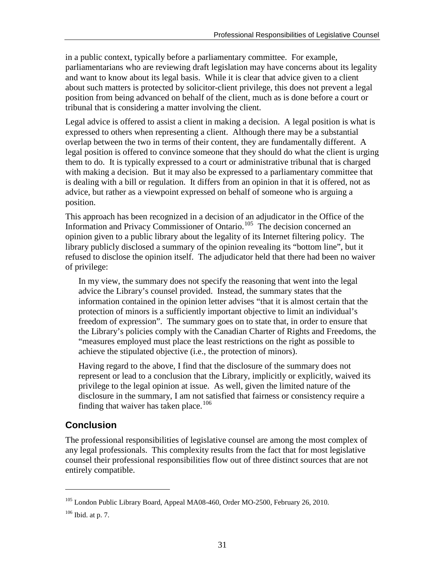in a public context, typically before a parliamentary committee. For example, parliamentarians who are reviewing draft legislation may have concerns about its legality and want to know about its legal basis. While it is clear that advice given to a client about such matters is protected by solicitor-client privilege, this does not prevent a legal position from being advanced on behalf of the client, much as is done before a court or tribunal that is considering a matter involving the client.

Legal advice is offered to assist a client in making a decision. A legal position is what is expressed to others when representing a client. Although there may be a substantial overlap between the two in terms of their content, they are fundamentally different. A legal position is offered to convince someone that they should do what the client is urging them to do. It is typically expressed to a court or administrative tribunal that is charged with making a decision. But it may also be expressed to a parliamentary committee that is dealing with a bill or regulation. It differs from an opinion in that it is offered, not as advice, but rather as a viewpoint expressed on behalf of someone who is arguing a position.

This approach has been recognized in a decision of an adjudicator in the Office of the Information and Privacy Commissioner of Ontario.<sup>[105](#page-32-1)</sup> The decision concerned an opinion given to a public library about the legality of its Internet filtering policy. The library publicly disclosed a summary of the opinion revealing its "bottom line", but it refused to disclose the opinion itself. The adjudicator held that there had been no waiver of privilege:

In my view, the summary does not specify the reasoning that went into the legal advice the Library's counsel provided. Instead, the summary states that the information contained in the opinion letter advises "that it is almost certain that the protection of minors is a sufficiently important objective to limit an individual's freedom of expression". The summary goes on to state that, in order to ensure that the Library's policies comply with the Canadian Charter of Rights and Freedoms, the "measures employed must place the least restrictions on the right as possible to achieve the stipulated objective (i.e., the protection of minors).

Having regard to the above, I find that the disclosure of the summary does not represent or lead to a conclusion that the Library, implicitly or explicitly, waived its privilege to the legal opinion at issue. As well, given the limited nature of the disclosure in the summary, I am not satisfied that fairness or consistency require a finding that waiver has taken place. $106$ 

## <span id="page-32-0"></span>**Conclusion**

The professional responsibilities of legislative counsel are among the most complex of any legal professionals. This complexity results from the fact that for most legislative counsel their professional responsibilities flow out of three distinct sources that are not entirely compatible.

<span id="page-32-1"></span><sup>&</sup>lt;sup>105</sup> London Public Library Board, Appeal MA08-460, Order MO-2500, February 26, 2010.

<span id="page-32-2"></span><sup>106</sup> Ibid. at p. 7.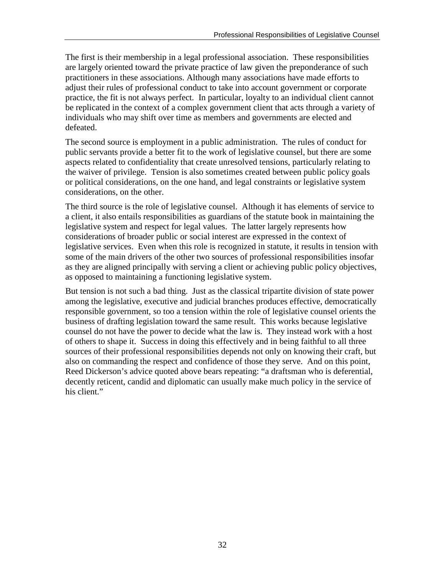The first is their membership in a legal professional association. These responsibilities are largely oriented toward the private practice of law given the preponderance of such practitioners in these associations. Although many associations have made efforts to adjust their rules of professional conduct to take into account government or corporate practice, the fit is not always perfect. In particular, loyalty to an individual client cannot be replicated in the context of a complex government client that acts through a variety of individuals who may shift over time as members and governments are elected and defeated.

The second source is employment in a public administration. The rules of conduct for public servants provide a better fit to the work of legislative counsel, but there are some aspects related to confidentiality that create unresolved tensions, particularly relating to the waiver of privilege. Tension is also sometimes created between public policy goals or political considerations, on the one hand, and legal constraints or legislative system considerations, on the other.

The third source is the role of legislative counsel. Although it has elements of service to a client, it also entails responsibilities as guardians of the statute book in maintaining the legislative system and respect for legal values. The latter largely represents how considerations of broader public or social interest are expressed in the context of legislative services. Even when this role is recognized in statute, it results in tension with some of the main drivers of the other two sources of professional responsibilities insofar as they are aligned principally with serving a client or achieving public policy objectives, as opposed to maintaining a functioning legislative system.

But tension is not such a bad thing. Just as the classical tripartite division of state power among the legislative, executive and judicial branches produces effective, democratically responsible government, so too a tension within the role of legislative counsel orients the business of drafting legislation toward the same result. This works because legislative counsel do not have the power to decide what the law is. They instead work with a host of others to shape it. Success in doing this effectively and in being faithful to all three sources of their professional responsibilities depends not only on knowing their craft, but also on commanding the respect and confidence of those they serve. And on this point, Reed Dickerson's advice quoted above bears repeating: "a draftsman who is deferential, decently reticent, candid and diplomatic can usually make much policy in the service of his client."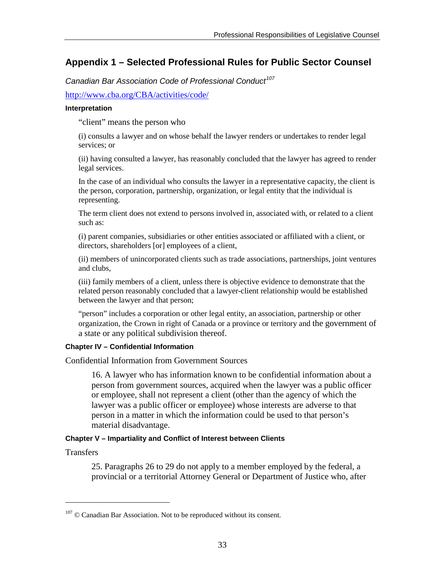## <span id="page-34-0"></span>**Appendix 1 – Selected Professional Rules for Public Sector Counsel**

<span id="page-34-1"></span>*Canadian Bar Association Code of Professional Conduct[107](#page-34-2)*

<http://www.cba.org/CBA/activities/code/>

#### **Interpretation**

"client" means the person who

(i) consults a lawyer and on whose behalf the lawyer renders or undertakes to render legal services; or

(ii) having consulted a lawyer, has reasonably concluded that the lawyer has agreed to render legal services.

In the case of an individual who consults the lawyer in a representative capacity, the client is the person, corporation, partnership, organization, or legal entity that the individual is representing.

The term client does not extend to persons involved in, associated with, or related to a client such as:

(i) parent companies, subsidiaries or other entities associated or affiliated with a client, or directors, shareholders [or] employees of a client,

(ii) members of unincorporated clients such as trade associations, partnerships, joint ventures and clubs,

(iii) family members of a client, unless there is objective evidence to demonstrate that the related person reasonably concluded that a lawyer-client relationship would be established between the lawyer and that person;

"person" includes a corporation or other legal entity, an association, partnership or other organization, the Crown in right of Canada or a province or territory and the government of a state or any political subdivision thereof.

#### **Chapter IV – Confidential Information**

Confidential Information from Government Sources

16. A lawyer who has information known to be confidential information about a person from government sources, acquired when the lawyer was a public officer or employee, shall not represent a client (other than the agency of which the lawyer was a public officer or employee) whose interests are adverse to that person in a matter in which the information could be used to that person's material disadvantage.

#### **Chapter V – Impartiality and Conflict of Interest between Clients**

**Transfers** 

 $\overline{a}$ 

25. Paragraphs 26 to 29 do not apply to a member employed by the federal, a provincial or a territorial Attorney General or Department of Justice who, after

<span id="page-34-2"></span><sup>&</sup>lt;sup>107</sup> © Canadian Bar Association. Not to be reproduced without its consent.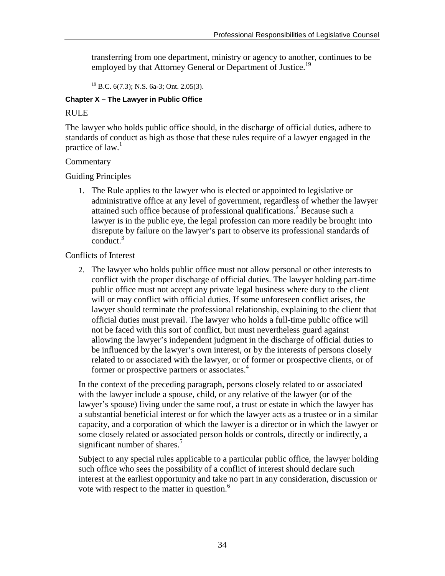transferring from one department, ministry or agency to another, continues to be employed by that Attorney General or Department of Justice.<sup>19</sup>

 $^{19}$  B.C. 6(7.3); N.S. 6a-3; Ont. 2.05(3).

#### **Chapter X – The Lawyer in Public Office**

#### RULE

The lawyer who holds public office should, in the discharge of official duties, adhere to standards of conduct as high as those that these rules require of a lawyer engaged in the practice of law.<sup>1</sup>

#### **Commentary**

Guiding Principles

1. The Rule applies to the lawyer who is elected or appointed to legislative or administrative office at any level of government, regardless of whether the lawyer attained such office because of professional qualifications.<sup>2</sup> Because such a lawyer is in the public eye, the legal profession can more readily be brought into disrepute by failure on the lawyer's part to observe its professional standards of conduct.3

Conflicts of Interest

2. The lawyer who holds public office must not allow personal or other interests to conflict with the proper discharge of official duties. The lawyer holding part-time public office must not accept any private legal business where duty to the client will or may conflict with official duties. If some unforeseen conflict arises, the lawyer should terminate the professional relationship, explaining to the client that official duties must prevail. The lawyer who holds a full-time public office will not be faced with this sort of conflict, but must nevertheless guard against allowing the lawyer's independent judgment in the discharge of official duties to be influenced by the lawyer's own interest, or by the interests of persons closely related to or associated with the lawyer, or of former or prospective clients, or of former or prospective partners or associates.<sup>4</sup>

In the context of the preceding paragraph, persons closely related to or associated with the lawyer include a spouse, child, or any relative of the lawyer (or of the lawyer's spouse) living under the same roof, a trust or estate in which the lawyer has a substantial beneficial interest or for which the lawyer acts as a trustee or in a similar capacity, and a corporation of which the lawyer is a director or in which the lawyer or some closely related or associated person holds or controls, directly or indirectly, a significant number of shares.<sup>5</sup>

Subject to any special rules applicable to a particular public office, the lawyer holding such office who sees the possibility of a conflict of interest should declare such interest at the earliest opportunity and take no part in any consideration, discussion or vote with respect to the matter in question.<sup>6</sup>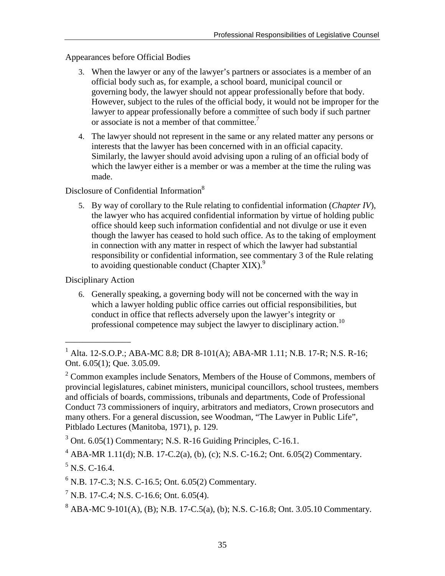#### Appearances before Official Bodies

- 3. When the lawyer or any of the lawyer's partners or associates is a member of an official body such as, for example, a school board, municipal council or governing body, the lawyer should not appear professionally before that body. However, subject to the rules of the official body, it would not be improper for the lawyer to appear professionally before a committee of such body if such partner or associate is not a member of that committee.<sup>7</sup>
- 4. The lawyer should not represent in the same or any related matter any persons or interests that the lawyer has been concerned with in an official capacity. Similarly, the lawyer should avoid advising upon a ruling of an official body of which the lawyer either is a member or was a member at the time the ruling was made.

### Disclosure of Confidential Information<sup>8</sup>

5. By way of corollary to the Rule relating to confidential information (*Chapter IV*), the lawyer who has acquired confidential information by virtue of holding public office should keep such information confidential and not divulge or use it even though the lawyer has ceased to hold such office. As to the taking of employment in connection with any matter in respect of which the lawyer had substantial responsibility or confidential information, see commentary 3 of the Rule relating to avoiding questionable conduct (Chapter XIX). $9$ 

Disciplinary Action

\_\_\_\_\_\_\_\_\_\_\_\_\_\_\_

6. Generally speaking, a governing body will not be concerned with the way in which a lawyer holding public office carries out official responsibilities, but conduct in office that reflects adversely upon the lawyer's integrity or professional competence may subject the lawyer to disciplinary action.<sup>10</sup>

<sup>&</sup>lt;sup>1</sup> Alta. 12-S.O.P.; ABA-MC 8.8; DR 8-101(A); ABA-MR 1.11; N.B. 17-R; N.S. R-16; Ont. 6.05(1); Que. 3.05.09.

<sup>&</sup>lt;sup>2</sup> Common examples include Senators, Members of the House of Commons, members of provincial legislatures, cabinet ministers, municipal councillors, school trustees, members and officials of boards, commissions, tribunals and departments, Code of Professional Conduct 73 commissioners of inquiry, arbitrators and mediators, Crown prosecutors and many others. For a general discussion, see Woodman, "The Lawyer in Public Life", Pitblado Lectures (Manitoba, 1971), p. 129.

 $3$  Ont. 6.05(1) Commentary; N.S. R-16 Guiding Principles, C-16.1.

 $^{4}$  ABA-MR 1.11(d); N.B. 17-C.2(a), (b), (c); N.S. C-16.2; Ont. 6.05(2) Commentary.

 $5$  N.S. C-16.4.

 $^{6}$  N.B. 17-C.3; N.S. C-16.5; Ont. 6.05(2) Commentary.

 $<sup>7</sup>$  N.B. 17-C.4; N.S. C-16.6; Ont. 6.05(4).</sup>

<sup>8</sup> ABA-MC 9-101(A), (B); N.B. 17-C.5(a), (b); N.S. C-16.8; Ont. 3.05.10 Commentary.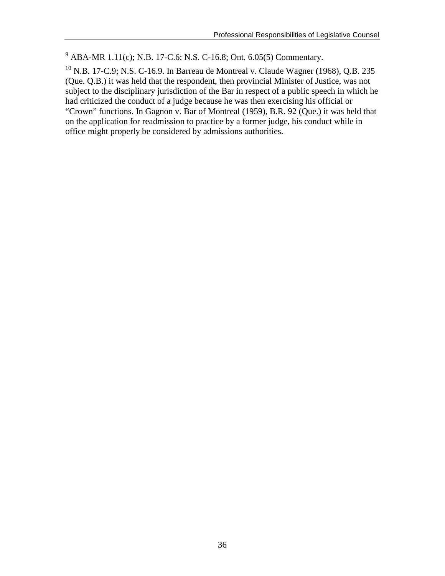$^{9}$  ABA-MR 1.11(c); N.B. 17-C.6; N.S. C-16.8; Ont. 6.05(5) Commentary.

 $10$  N.B. 17-C.9; N.S. C-16.9. In Barreau de Montreal v. Claude Wagner (1968), Q.B. 235 (Que. Q.B.) it was held that the respondent, then provincial Minister of Justice, was not subject to the disciplinary jurisdiction of the Bar in respect of a public speech in which he had criticized the conduct of a judge because he was then exercising his official or "Crown" functions. In Gagnon v. Bar of Montreal (1959), B.R. 92 (Que.) it was held that on the application for readmission to practice by a former judge, his conduct while in office might properly be considered by admissions authorities.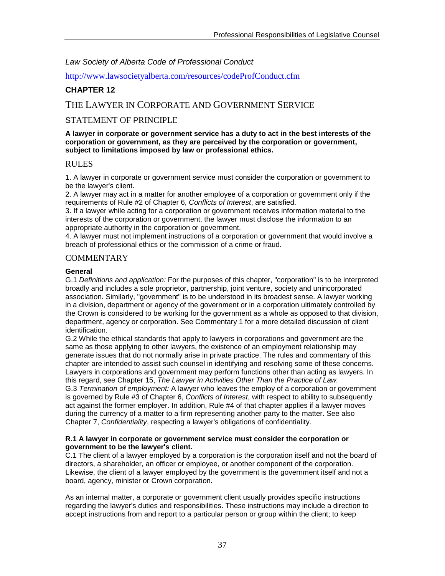<span id="page-38-0"></span>*Law Society of Alberta Code of Professional Conduct*

<http://www.lawsocietyalberta.com/resources/codeProfConduct.cfm>

#### **CHAPTER 12**

### THE LAWYER IN CORPORATE AND GOVERNMENT SERVICE

### STATEMENT OF PRINCIPLE

**A lawyer in corporate or government service has a duty to act in the best interests of the corporation or government, as they are perceived by the corporation or government, subject to limitations imposed by law or professional ethics.**

#### RULES

1. A lawyer in corporate or government service must consider the corporation or government to be the lawyer's client.

2. A lawyer may act in a matter for another employee of a corporation or government only if the requirements of Rule #2 of Chapter 6, *Conflicts of Interest*, are satisfied.

3. If a lawyer while acting for a corporation or government receives information material to the interests of the corporation or government, the lawyer must disclose the information to an appropriate authority in the corporation or government.

4. A lawyer must not implement instructions of a corporation or government that would involve a breach of professional ethics or the commission of a crime or fraud.

#### **COMMENTARY**

#### **General**

G.1 *Definitions and application:* For the purposes of this chapter, "corporation" is to be interpreted broadly and includes a sole proprietor, partnership, joint venture, society and unincorporated association. Similarly, "government" is to be understood in its broadest sense. A lawyer working in a division, department or agency of the government or in a corporation ultimately controlled by the Crown is considered to be working for the government as a whole as opposed to that division, department, agency or corporation. See Commentary 1 for a more detailed discussion of client identification.

G.2 While the ethical standards that apply to lawyers in corporations and government are the same as those applying to other lawyers, the existence of an employment relationship may generate issues that do not normally arise in private practice. The rules and commentary of this chapter are intended to assist such counsel in identifying and resolving some of these concerns. Lawyers in corporations and government may perform functions other than acting as lawyers. In this regard, see Chapter 15, *The Lawyer in Activities Other Than the Practice of Law.* G.3 *Termination of employment:* A lawyer who leaves the employ of a corporation or government is governed by Rule #3 of Chapter 6, *Conflicts of Interest*, with respect to ability to subsequently act against the former employer. In addition, Rule #4 of that chapter applies if a lawyer moves

during the currency of a matter to a firm representing another party to the matter. See also Chapter 7, *Confidentiality*, respecting a lawyer's obligations of confidentiality.

#### **R.1 A lawyer in corporate or government service must consider the corporation or government to be the lawyer's client.**

C.1 The client of a lawyer employed by a corporation is the corporation itself and not the board of directors, a shareholder, an officer or employee, or another component of the corporation. Likewise, the client of a lawyer employed by the government is the government itself and not a board, agency, minister or Crown corporation.

As an internal matter, a corporate or government client usually provides specific instructions regarding the lawyer's duties and responsibilities. These instructions may include a direction to accept instructions from and report to a particular person or group within the client; to keep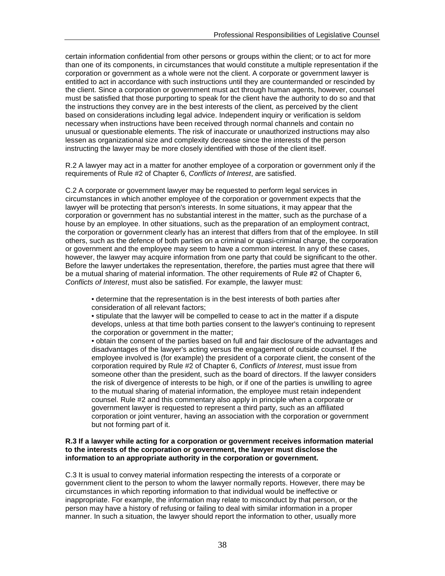certain information confidential from other persons or groups within the client; or to act for more than one of its components, in circumstances that would constitute a multiple representation if the corporation or government as a whole were not the client. A corporate or government lawyer is entitled to act in accordance with such instructions until they are countermanded or rescinded by the client. Since a corporation or government must act through human agents, however, counsel must be satisfied that those purporting to speak for the client have the authority to do so and that the instructions they convey are in the best interests of the client, as perceived by the client based on considerations including legal advice. Independent inquiry or verification is seldom necessary when instructions have been received through normal channels and contain no unusual or questionable elements. The risk of inaccurate or unauthorized instructions may also lessen as organizational size and complexity decrease since the interests of the person instructing the lawyer may be more closely identified with those of the client itself.

R.2 A lawyer may act in a matter for another employee of a corporation or government only if the requirements of Rule #2 of Chapter 6, *Conflicts of Interest*, are satisfied.

C.2 A corporate or government lawyer may be requested to perform legal services in circumstances in which another employee of the corporation or government expects that the lawyer will be protecting that person's interests. In some situations, it may appear that the corporation or government has no substantial interest in the matter, such as the purchase of a house by an employee. In other situations, such as the preparation of an employment contract, the corporation or government clearly has an interest that differs from that of the employee. In still others, such as the defence of both parties on a criminal or quasi-criminal charge, the corporation or government and the employee may seem to have a common interest. In any of these cases, however, the lawyer may acquire information from one party that could be significant to the other. Before the lawyer undertakes the representation, therefore, the parties must agree that there will be a mutual sharing of material information. The other requirements of Rule **#**2 of Chapter 6, *Conflicts of Interest*, must also be satisfied. For example, the lawyer must:

• determine that the representation is in the best interests of both parties after consideration of all relevant factors;

• stipulate that the lawyer will be compelled to cease to act in the matter if a dispute develops, unless at that time both parties consent to the lawyer's continuing to represent the corporation or government in the matter;

• obtain the consent of the parties based on full and fair disclosure of the advantages and disadvantages of the lawyer's acting versus the engagement of outside counsel. If the employee involved is (for example) the president of a corporate client, the consent of the corporation required by Rule #2 of Chapter 6, *Conflicts of Interest*, must issue from someone other than the president, such as the board of directors. If the lawyer considers the risk of divergence of interests to be high, or if one of the parties is unwilling to agree to the mutual sharing of material information, the employee must retain independent counsel. Rule #2 and this commentary also apply in principle when a corporate or government lawyer is requested to represent a third party, such as an affiliated corporation or joint venturer, having an association with the corporation or government but not forming part of it.

#### **R.3 If a lawyer while acting for a corporation or government receives information material to the interests of the corporation or government, the lawyer must disclose the information to an appropriate authority in the corporation or government.**

C.3 It is usual to convey material information respecting the interests of a corporate or government client to the person to whom the lawyer normally reports. However, there may be circumstances in which reporting information to that individual would be ineffective or inappropriate. For example, the information may relate to misconduct by that person, or the person may have a history of refusing or failing to deal with similar information in a proper manner. In such a situation, the lawyer should report the information to other, usually more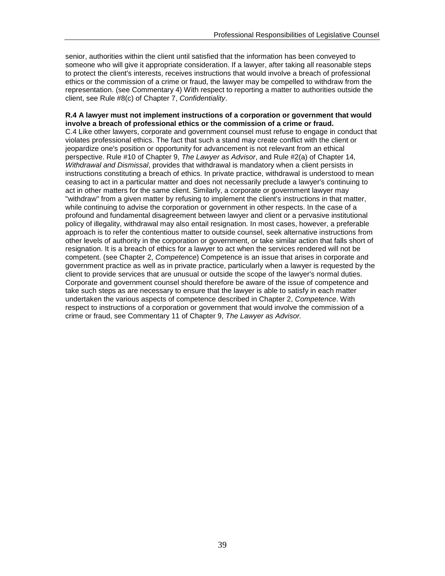senior, authorities within the client until satisfied that the information has been conveyed to someone who will give it appropriate consideration. If a lawyer, after taking all reasonable steps to protect the client's interests, receives instructions that would involve a breach of professional ethics or the commission of a crime or fraud, the lawyer may be compelled to withdraw from the representation. (see Commentary 4) With respect to reporting a matter to authorities outside the client, see Rule #8(c) of Chapter 7, *Confidentiality*.

#### **R.4 A lawyer must not implement instructions of a corporation or government that would involve a breach of professional ethics or the commission of a crime or fraud.**

C.4 Like other lawyers, corporate and government counsel must refuse to engage in conduct that violates professional ethics. The fact that such a stand may create conflict with the client or jeopardize one's position or opportunity for advancement is not relevant from an ethical perspective. Rule #10 of Chapter 9, *The Lawyer as Advisor*, and Rule #2(a) of Chapter 14, *Withdrawal and Dismissal*, provides that withdrawal is mandatory when a client persists in instructions constituting a breach of ethics. In private practice, withdrawal is understood to mean ceasing to act in a particular matter and does not necessarily preclude a lawyer's continuing to act in other matters for the same client. Similarly, a corporate or government lawyer may "withdraw" from a given matter by refusing to implement the client's instructions in that matter, while continuing to advise the corporation or government in other respects. In the case of a profound and fundamental disagreement between lawyer and client or a pervasive institutional policy of illegality, withdrawal may also entail resignation. In most cases, however, a preferable approach is to refer the contentious matter to outside counsel, seek alternative instructions from other levels of authority in the corporation or government, or take similar action that falls short of resignation. It is a breach of ethics for a lawyer to act when the services rendered will not be competent. (see Chapter 2, *Competence*) Competence is an issue that arises in corporate and government practice as well as in private practice, particularly when a lawyer is requested by the client to provide services that are unusual or outside the scope of the lawyer's normal duties. Corporate and government counsel should therefore be aware of the issue of competence and take such steps as are necessary to ensure that the lawyer is able to satisfy in each matter undertaken the various aspects of competence described in Chapter 2, *Competence*. With respect to instructions of a corporation or government that would involve the commission of a crime or fraud, see Commentary 11 of Chapter 9, *The Lawyer as Advisor.*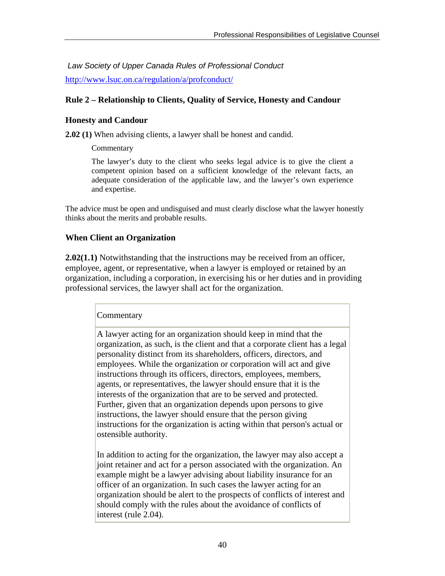<span id="page-41-0"></span>*Law Society of Upper Canada Rules of Professional Conduct* <http://www.lsuc.on.ca/regulation/a/profconduct/>

## **Rule 2 – Relationship to Clients, Quality of Service, Honesty and Candour**

#### **Honesty and Candour**

**2.02 (1)** When advising clients, a lawyer shall be honest and candid.

**Commentary** 

The lawyer's duty to the client who seeks legal advice is to give the client a competent opinion based on a sufficient knowledge of the relevant facts, an adequate consideration of the applicable law, and the lawyer's own experience and expertise.

The advice must be open and undisguised and must clearly disclose what the lawyer honestly thinks about the merits and probable results.

### **When Client an Organization**

**2.02(1.1)** Notwithstanding that the instructions may be received from an officer, employee, agent, or representative, when a lawyer is employed or retained by an organization, including a corporation, in exercising his or her duties and in providing professional services, the lawyer shall act for the organization.

| Commentary |
|------------|
|------------|

A lawyer acting for an organization should keep in mind that the organization, as such, is the client and that a corporate client has a legal personality distinct from its shareholders, officers, directors, and employees. While the organization or corporation will act and give instructions through its officers, directors, employees, members, agents, or representatives, the lawyer should ensure that it is the interests of the organization that are to be served and protected. Further, given that an organization depends upon persons to give instructions, the lawyer should ensure that the person giving instructions for the organization is acting within that person's actual or ostensible authority.

In addition to acting for the organization, the lawyer may also accept a joint retainer and act for a person associated with the organization. An example might be a lawyer advising about liability insurance for an officer of an organization. In such cases the lawyer acting for an organization should be alert to the prospects of conflicts of interest and should comply with the rules about the avoidance of conflicts of interest (rule 2.04).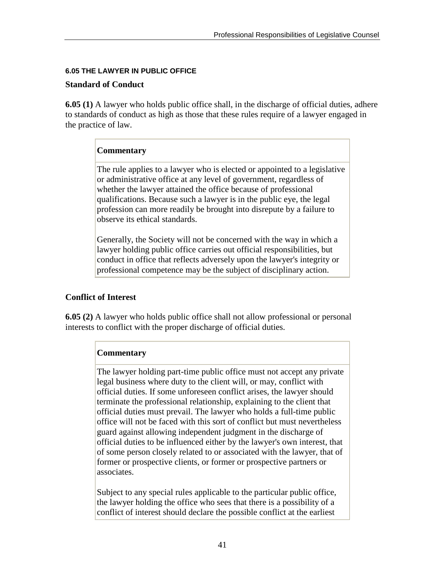#### **6.05 THE LAWYER IN PUBLIC OFFICE**

#### **Standard of Conduct**

**6.05 (1)** A lawyer who holds public office shall, in the discharge of official duties, adhere to standards of conduct as high as those that these rules require of a lawyer engaged in the practice of law.

## **Commentary**

The rule applies to a lawyer who is elected or appointed to a legislative or administrative office at any level of government, regardless of whether the lawyer attained the office because of professional qualifications. Because such a lawyer is in the public eye, the legal profession can more readily be brought into disrepute by a failure to observe its ethical standards.

Generally, the Society will not be concerned with the way in which a lawyer holding public office carries out official responsibilities, but conduct in office that reflects adversely upon the lawyer's integrity or professional competence may be the subject of disciplinary action.

### **Conflict of Interest**

**6.05 (2)** A lawyer who holds public office shall not allow professional or personal interests to conflict with the proper discharge of official duties.

### **Commentary**

The lawyer holding part-time public office must not accept any private legal business where duty to the client will, or may, conflict with official duties. If some unforeseen conflict arises, the lawyer should terminate the professional relationship, explaining to the client that official duties must prevail. The lawyer who holds a full-time public office will not be faced with this sort of conflict but must nevertheless guard against allowing independent judgment in the discharge of official duties to be influenced either by the lawyer's own interest, that of some person closely related to or associated with the lawyer, that of former or prospective clients, or former or prospective partners or associates.

Subject to any special rules applicable to the particular public office, the lawyer holding the office who sees that there is a possibility of a conflict of interest should declare the possible conflict at the earliest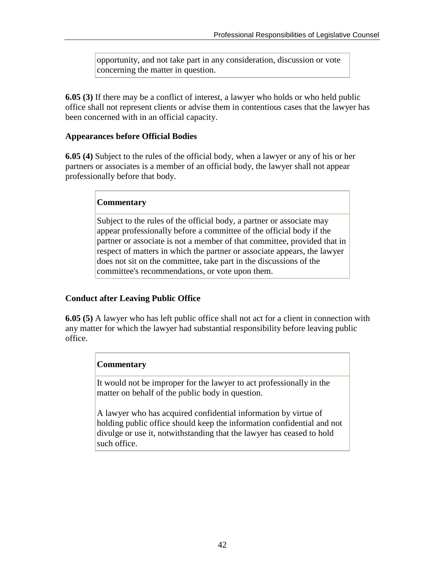opportunity, and not take part in any consideration, discussion or vote concerning the matter in question.

**6.05 (3)** If there may be a conflict of interest, a lawyer who holds or who held public office shall not represent clients or advise them in contentious cases that the lawyer has been concerned with in an official capacity.

#### **Appearances before Official Bodies**

**6.05 (4)** Subject to the rules of the official body, when a lawyer or any of his or her partners or associates is a member of an official body, the lawyer shall not appear professionally before that body.

### **Commentary**

Subject to the rules of the official body, a partner or associate may appear professionally before a committee of the official body if the partner or associate is not a member of that committee, provided that in respect of matters in which the partner or associate appears, the lawyer does not sit on the committee, take part in the discussions of the committee's recommendations, or vote upon them.

### **Conduct after Leaving Public Office**

**6.05 (5)** A lawyer who has left public office shall not act for a client in connection with any matter for which the lawyer had substantial responsibility before leaving public office.

#### **Commentary**

It would not be improper for the lawyer to act professionally in the matter on behalf of the public body in question.

A lawyer who has acquired confidential information by virtue of holding public office should keep the information confidential and not divulge or use it, notwithstanding that the lawyer has ceased to hold such office.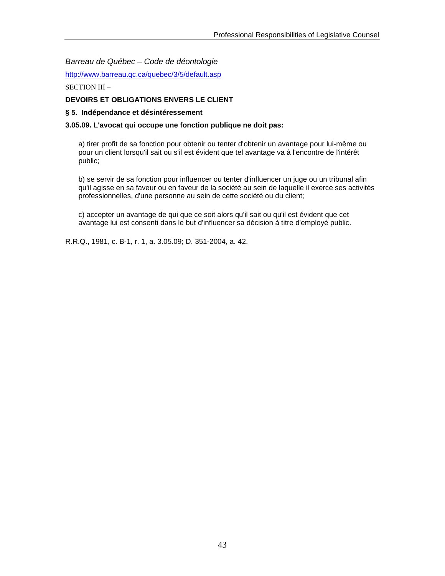<span id="page-44-0"></span>*Barreau de Québec – Code de déontologie* 

<http://www.barreau.qc.ca/quebec/3/5/default.asp>

SECTION III –

#### **DEVOIRS ET OBLIGATIONS ENVERS LE CLIENT**

#### **§ 5. Indépendance et désintéressement**

#### **3.05.09. L'avocat qui occupe une fonction publique ne doit pas:**

a) tirer profit de sa fonction pour obtenir ou tenter d'obtenir un avantage pour lui-même ou pour un client lorsqu'il sait ou s'il est évident que tel avantage va à l'encontre de l'intérêt public;

b) se servir de sa fonction pour influencer ou tenter d'influencer un juge ou un tribunal afin qu'il agisse en sa faveur ou en faveur de la société au sein de laquelle il exerce ses activités professionnelles, d'une personne au sein de cette société ou du client;

c) accepter un avantage de qui que ce soit alors qu'il sait ou qu'il est évident que cet avantage lui est consenti dans le but d'influencer sa décision à titre d'employé public.

R.R.Q., 1981, c. B-1, r. 1, a. 3.05.09; D. 351-2004, a. 42.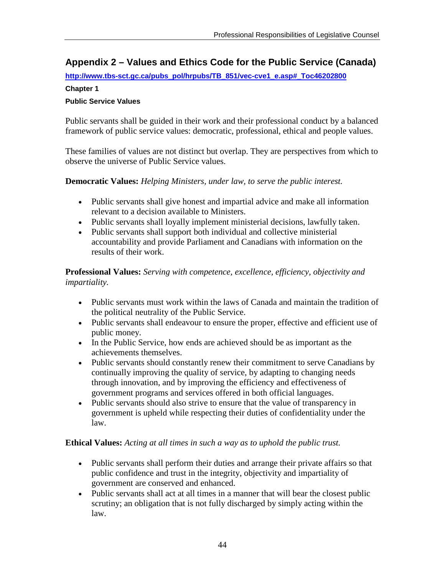## <span id="page-45-0"></span>**Appendix 2 – Values and Ethics Code for the Public Service (Canada)**

**[http://www.tbs-sct.gc.ca/pubs\\_pol/hrpubs/TB\\_851/vec-cve1\\_e.asp#\\_Toc46202800](http://www.tbs-sct.gc.ca/pubs_pol/hrpubs/TB_851/vec-cve1_e.asp#_Toc46202800)**

**Chapter 1**

#### **Public Service Values**

Public servants shall be guided in their work and their professional conduct by a balanced framework of public service values: democratic, professional, ethical and people values.

These families of values are not distinct but overlap. They are perspectives from which to observe the universe of Public Service values.

**Democratic Values:** *Helping Ministers, under law, to serve the public interest.*

- Public servants shall give honest and impartial advice and make all information relevant to a decision available to Ministers.
- Public servants shall loyally implement ministerial decisions, lawfully taken.
- Public servants shall support both individual and collective ministerial accountability and provide Parliament and Canadians with information on the results of their work.

**Professional Values:** *Serving with competence, excellence, efficiency, objectivity and impartiality.*

- Public servants must work within the laws of Canada and maintain the tradition of the political neutrality of the Public Service.
- Public servants shall endeavour to ensure the proper, effective and efficient use of public money.
- In the Public Service, how ends are achieved should be as important as the achievements themselves.
- Public servants should constantly renew their commitment to serve Canadians by continually improving the quality of service, by adapting to changing needs through innovation, and by improving the efficiency and effectiveness of government programs and services offered in both official languages.
- Public servants should also strive to ensure that the value of transparency in government is upheld while respecting their duties of confidentiality under the law.

### **Ethical Values:** *Acting at all times in such a way as to uphold the public trust.*

- Public servants shall perform their duties and arrange their private affairs so that public confidence and trust in the integrity, objectivity and impartiality of government are conserved and enhanced.
- Public servants shall act at all times in a manner that will bear the closest public scrutiny; an obligation that is not fully discharged by simply acting within the law.